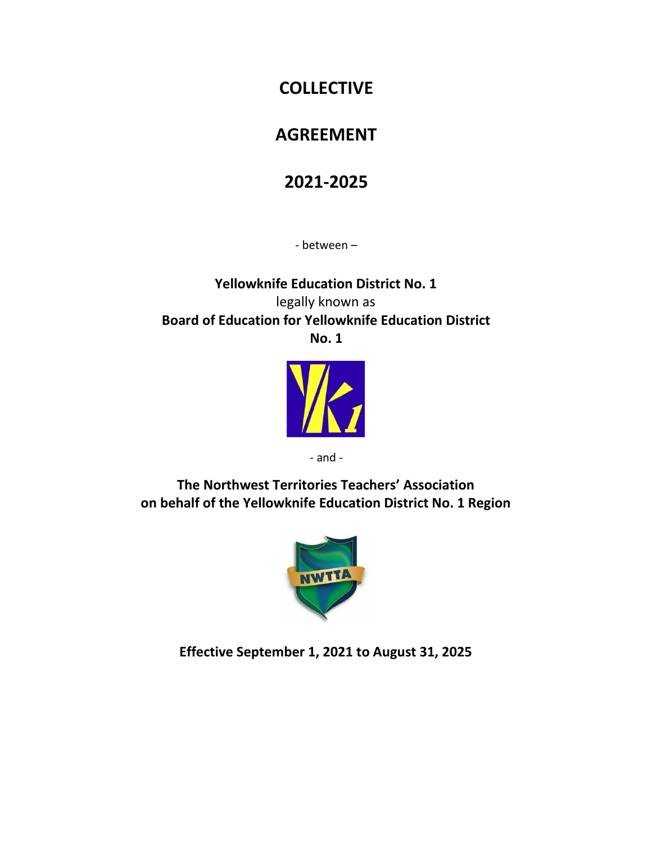# **COLLECTIVE**

# **AGREEMENT**

# **2021-2025**

- between –

**Yellowknife Education District No. 1** legally known as **Board of Education for Yellowknife Education District No. 1**



- and -

**The Northwest Territories Teachers' Association on behalf of the Yellowknife Education District No. 1 Region**



**Effective September 1, 2021 to August 31, 2025**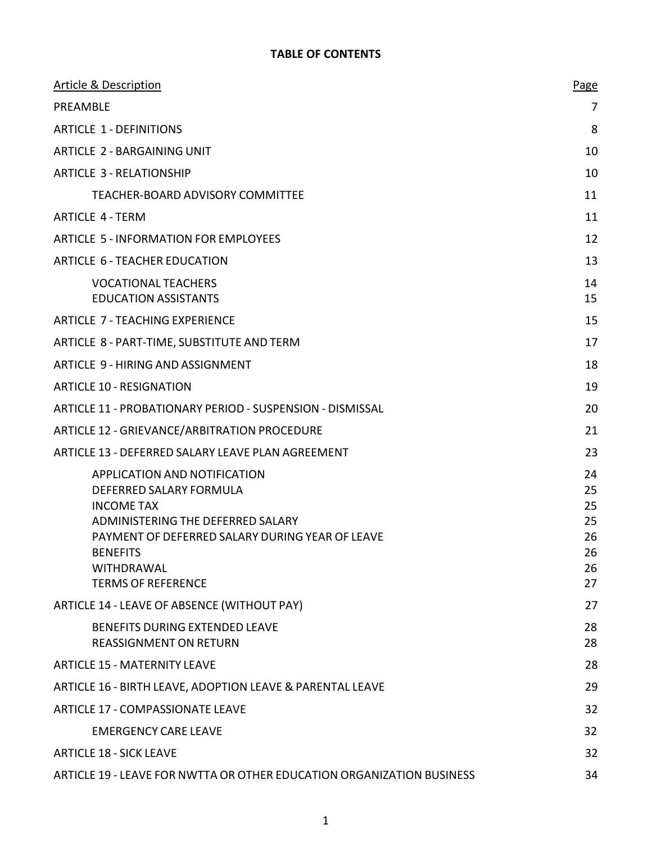# **TABLE OF CONTENTS**

| <b>Article &amp; Description</b>                                                                                                                                                                                                          | Page                                         |
|-------------------------------------------------------------------------------------------------------------------------------------------------------------------------------------------------------------------------------------------|----------------------------------------------|
| PREAMBLE                                                                                                                                                                                                                                  | 7                                            |
| <b>ARTICLE 1 - DEFINITIONS</b>                                                                                                                                                                                                            | 8                                            |
| <b>ARTICLE 2 - BARGAINING UNIT</b>                                                                                                                                                                                                        | 10                                           |
| <b>ARTICLE 3 - RELATIONSHIP</b>                                                                                                                                                                                                           | 10                                           |
| TEACHER-BOARD ADVISORY COMMITTEE                                                                                                                                                                                                          | 11                                           |
| <b>ARTICLE 4 - TERM</b>                                                                                                                                                                                                                   | 11                                           |
| ARTICLE 5 - INFORMATION FOR EMPLOYEES                                                                                                                                                                                                     | 12                                           |
| ARTICLE 6 - TEACHER EDUCATION                                                                                                                                                                                                             | 13                                           |
| <b>VOCATIONAL TEACHERS</b><br><b>EDUCATION ASSISTANTS</b>                                                                                                                                                                                 | 14<br>15                                     |
| <b>ARTICLE 7 - TEACHING EXPERIENCE</b>                                                                                                                                                                                                    | 15                                           |
| ARTICLE 8 - PART-TIME, SUBSTITUTE AND TERM                                                                                                                                                                                                | 17                                           |
| ARTICLE 9 - HIRING AND ASSIGNMENT                                                                                                                                                                                                         | 18                                           |
| <b>ARTICLE 10 - RESIGNATION</b>                                                                                                                                                                                                           | 19                                           |
| ARTICLE 11 - PROBATIONARY PERIOD - SUSPENSION - DISMISSAL                                                                                                                                                                                 | 20                                           |
| ARTICLE 12 - GRIEVANCE/ARBITRATION PROCEDURE                                                                                                                                                                                              | 21                                           |
| ARTICLE 13 - DEFERRED SALARY LEAVE PLAN AGREEMENT                                                                                                                                                                                         | 23                                           |
| APPLICATION AND NOTIFICATION<br>DEFERRED SALARY FORMULA<br><b>INCOME TAX</b><br>ADMINISTERING THE DEFERRED SALARY<br>PAYMENT OF DEFERRED SALARY DURING YEAR OF LEAVE<br><b>BENEFITS</b><br><b>WITHDRAWAL</b><br><b>TERMS OF REFERENCE</b> | 24<br>25<br>25<br>25<br>26<br>26<br>26<br>27 |
| ARTICLE 14 - LEAVE OF ABSENCE (WITHOUT PAY)                                                                                                                                                                                               | 27                                           |
| BENEFITS DURING EXTENDED LEAVE<br><b>REASSIGNMENT ON RETURN</b>                                                                                                                                                                           | 28<br>28                                     |
| <b>ARTICLE 15 - MATERNITY LEAVE</b>                                                                                                                                                                                                       | 28                                           |
| ARTICLE 16 - BIRTH LEAVE, ADOPTION LEAVE & PARENTAL LEAVE                                                                                                                                                                                 | 29                                           |
| <b>ARTICLE 17 - COMPASSIONATE LEAVE</b>                                                                                                                                                                                                   | 32                                           |
| <b>EMERGENCY CARE LEAVE</b>                                                                                                                                                                                                               | 32                                           |
| <b>ARTICLE 18 - SICK LEAVE</b>                                                                                                                                                                                                            | 32                                           |
| ARTICLE 19 - LEAVE FOR NWTTA OR OTHER EDUCATION ORGANIZATION BUSINESS                                                                                                                                                                     | 34                                           |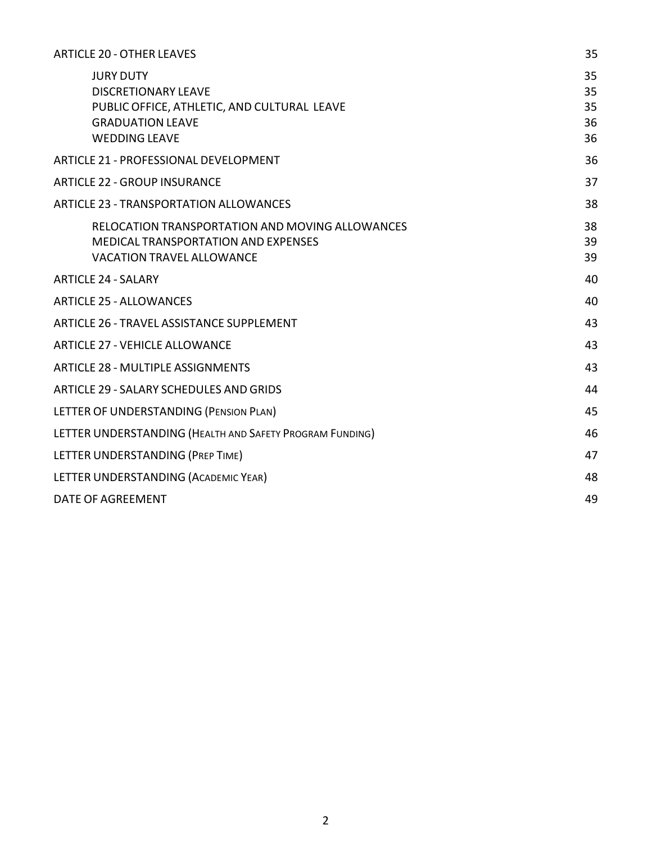| <b>ARTICLE 20 - OTHER LEAVES</b>                                                                                                                 | 35                         |
|--------------------------------------------------------------------------------------------------------------------------------------------------|----------------------------|
| <b>JURY DUTY</b><br><b>DISCRETIONARY LEAVE</b><br>PUBLIC OFFICE, ATHLETIC, AND CULTURAL LEAVE<br><b>GRADUATION LEAVE</b><br><b>WEDDING LEAVE</b> | 35<br>35<br>35<br>36<br>36 |
| <b>ARTICLE 21 - PROFESSIONAL DEVELOPMENT</b>                                                                                                     | 36                         |
| <b>ARTICLE 22 - GROUP INSURANCE</b>                                                                                                              | 37                         |
| <b>ARTICLE 23 - TRANSPORTATION ALLOWANCES</b>                                                                                                    | 38                         |
| RELOCATION TRANSPORTATION AND MOVING ALLOWANCES<br><b>MEDICAL TRANSPORTATION AND EXPENSES</b><br><b>VACATION TRAVEL ALLOWANCE</b>                | 38<br>39<br>39             |
| <b>ARTICLE 24 - SALARY</b>                                                                                                                       | 40                         |
| <b>ARTICLE 25 - ALLOWANCES</b>                                                                                                                   | 40                         |
| <b>ARTICLE 26 - TRAVEL ASSISTANCE SUPPLEMENT</b>                                                                                                 | 43                         |
| <b>ARTICLE 27 - VEHICLE ALLOWANCE</b>                                                                                                            | 43                         |
| <b>ARTICLE 28 - MULTIPLE ASSIGNMENTS</b>                                                                                                         | 43                         |
| ARTICLE 29 - SALARY SCHEDULES AND GRIDS                                                                                                          | 44                         |
| LETTER OF UNDERSTANDING (PENSION PLAN)                                                                                                           | 45                         |
| LETTER UNDERSTANDING (HEALTH AND SAFETY PROGRAM FUNDING)                                                                                         | 46                         |
| LETTER UNDERSTANDING (PREP TIME)                                                                                                                 | 47                         |
| LETTER UNDERSTANDING (ACADEMIC YEAR)                                                                                                             | 48                         |
| DATE OF AGREEMENT                                                                                                                                | 49                         |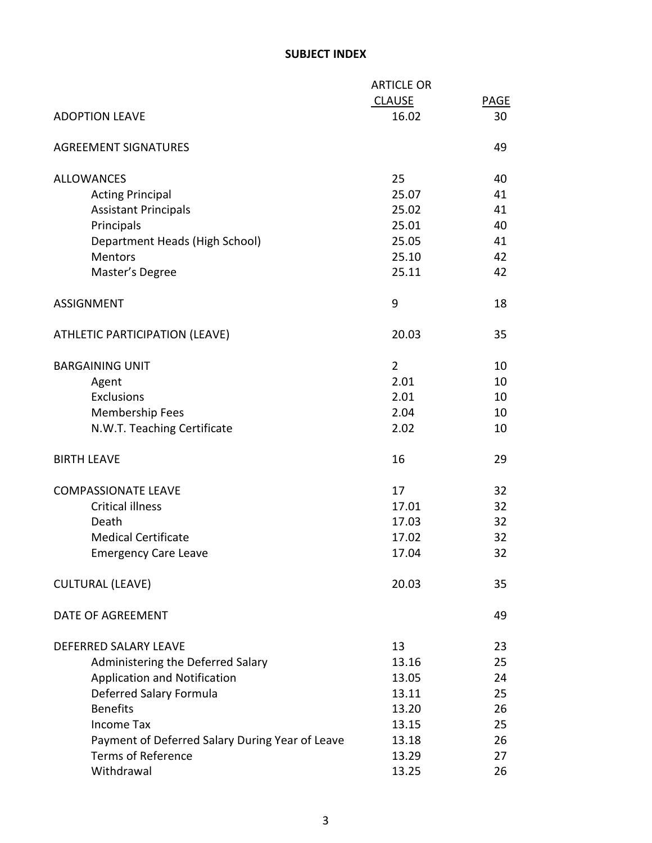## **SUBJECT INDEX**

|                                                 | <b>ARTICLE OR</b> |             |
|-------------------------------------------------|-------------------|-------------|
|                                                 | <b>CLAUSE</b>     | <b>PAGE</b> |
| <b>ADOPTION LEAVE</b>                           | 16.02             | 30          |
| <b>AGREEMENT SIGNATURES</b>                     |                   | 49          |
| <b>ALLOWANCES</b>                               | 25                | 40          |
| <b>Acting Principal</b>                         | 25.07             | 41          |
| <b>Assistant Principals</b>                     | 25.02             | 41          |
| Principals                                      | 25.01             | 40          |
| Department Heads (High School)                  | 25.05             | 41          |
| <b>Mentors</b>                                  | 25.10             | 42          |
| Master's Degree                                 | 25.11             | 42          |
| <b>ASSIGNMENT</b>                               | 9                 | 18          |
| ATHLETIC PARTICIPATION (LEAVE)                  | 20.03             | 35          |
| <b>BARGAINING UNIT</b>                          | $\overline{2}$    | 10          |
| Agent                                           | 2.01              | 10          |
| <b>Exclusions</b>                               | 2.01              | 10          |
| <b>Membership Fees</b>                          | 2.04              | 10          |
| N.W.T. Teaching Certificate                     | 2.02              | 10          |
| <b>BIRTH LEAVE</b>                              | 16                | 29          |
| <b>COMPASSIONATE LEAVE</b>                      | 17                | 32          |
| <b>Critical illness</b>                         | 17.01             | 32          |
| Death                                           | 17.03             | 32          |
| <b>Medical Certificate</b>                      | 17.02             | 32          |
| <b>Emergency Care Leave</b>                     | 17.04             | 32          |
| <b>CULTURAL (LEAVE)</b>                         | 20.03             | 35          |
| DATE OF AGREEMENT                               |                   | 49          |
| DEFERRED SALARY LEAVE                           | 13                | 23          |
| Administering the Deferred Salary               | 13.16             | 25          |
| <b>Application and Notification</b>             | 13.05             | 24          |
| Deferred Salary Formula                         | 13.11             | 25          |
| <b>Benefits</b>                                 | 13.20             | 26          |
| <b>Income Tax</b>                               | 13.15             | 25          |
| Payment of Deferred Salary During Year of Leave | 13.18             | 26          |
| <b>Terms of Reference</b>                       | 13.29             | 27          |
| Withdrawal                                      | 13.25             | 26          |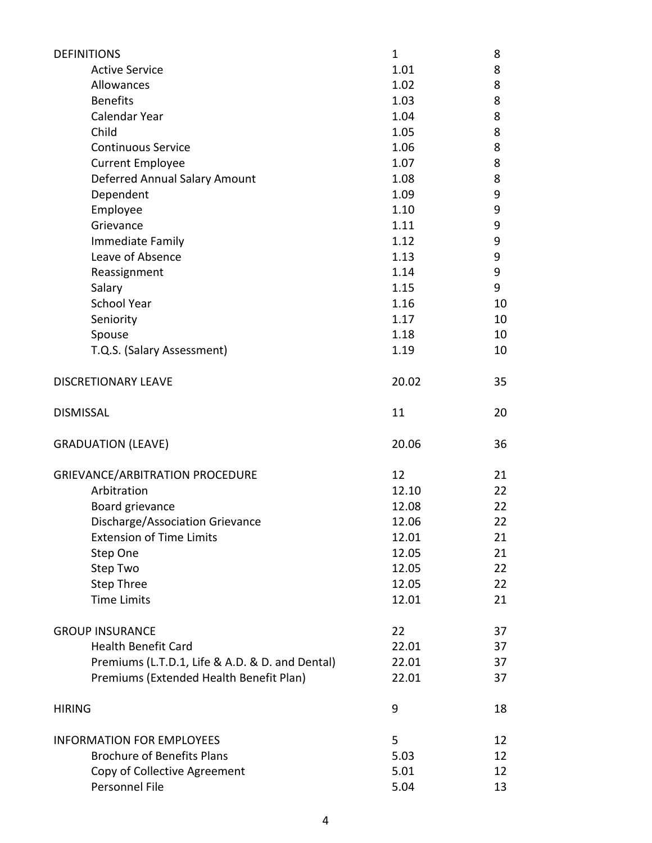| <b>DEFINITIONS</b>                              | 1     | 8  |
|-------------------------------------------------|-------|----|
| <b>Active Service</b>                           | 1.01  | 8  |
| Allowances                                      | 1.02  | 8  |
| <b>Benefits</b>                                 | 1.03  | 8  |
| Calendar Year                                   | 1.04  | 8  |
| Child                                           | 1.05  | 8  |
| <b>Continuous Service</b>                       | 1.06  | 8  |
| <b>Current Employee</b>                         | 1.07  | 8  |
| Deferred Annual Salary Amount                   | 1.08  | 8  |
| Dependent                                       | 1.09  | 9  |
| Employee                                        | 1.10  | 9  |
| Grievance                                       | 1.11  | 9  |
| Immediate Family                                | 1.12  | 9  |
| Leave of Absence                                | 1.13  | 9  |
| Reassignment                                    | 1.14  | 9  |
| Salary                                          | 1.15  | 9  |
| <b>School Year</b>                              | 1.16  | 10 |
| Seniority                                       | 1.17  | 10 |
| Spouse                                          | 1.18  | 10 |
| T.Q.S. (Salary Assessment)                      | 1.19  | 10 |
| <b>DISCRETIONARY LEAVE</b>                      | 20.02 | 35 |
|                                                 |       |    |
| <b>DISMISSAL</b>                                | 11    | 20 |
| <b>GRADUATION (LEAVE)</b>                       | 20.06 | 36 |
| <b>GRIEVANCE/ARBITRATION PROCEDURE</b>          | 12    | 21 |
| Arbitration                                     | 12.10 | 22 |
| Board grievance                                 | 12.08 | 22 |
| Discharge/Association Grievance                 | 12.06 | 22 |
| <b>Extension of Time Limits</b>                 | 12.01 | 21 |
| Step One                                        | 12.05 | 21 |
| Step Two                                        | 12.05 | 22 |
| Step Three                                      | 12.05 | 22 |
| <b>Time Limits</b>                              | 12.01 | 21 |
|                                                 |       |    |
| <b>GROUP INSURANCE</b>                          | 22    | 37 |
| <b>Health Benefit Card</b>                      | 22.01 | 37 |
| Premiums (L.T.D.1, Life & A.D. & D. and Dental) | 22.01 | 37 |
| Premiums (Extended Health Benefit Plan)         | 22.01 | 37 |
| <b>HIRING</b>                                   | 9     | 18 |
| <b>INFORMATION FOR EMPLOYEES</b>                | 5     | 12 |
| <b>Brochure of Benefits Plans</b>               | 5.03  | 12 |
| Copy of Collective Agreement                    | 5.01  | 12 |
| Personnel File                                  | 5.04  | 13 |
|                                                 |       |    |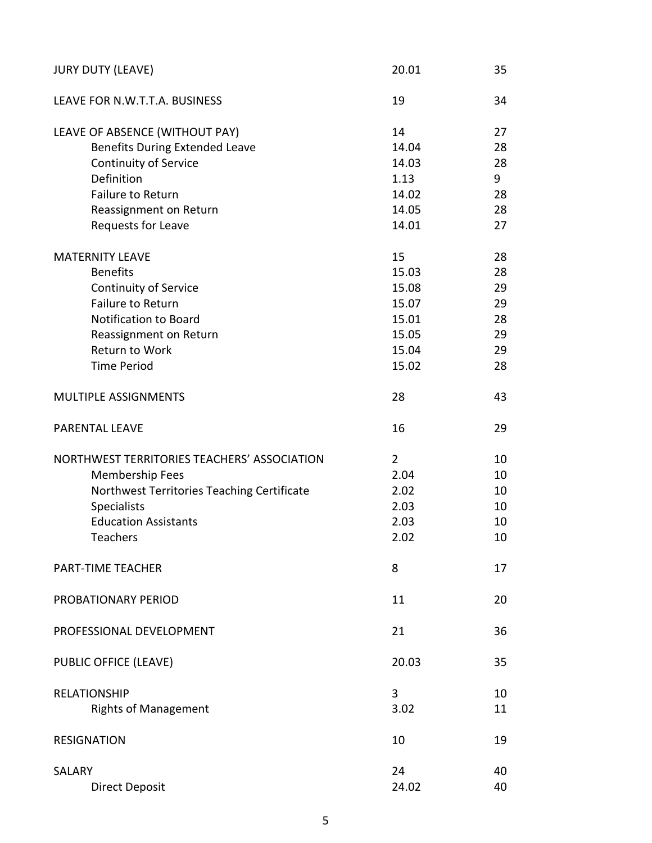| <b>JURY DUTY (LEAVE)</b>                    | 20.01          | 35 |
|---------------------------------------------|----------------|----|
| LEAVE FOR N.W.T.T.A. BUSINESS               | 19             | 34 |
| LEAVE OF ABSENCE (WITHOUT PAY)              | 14             | 27 |
| <b>Benefits During Extended Leave</b>       | 14.04          | 28 |
| <b>Continuity of Service</b>                | 14.03          | 28 |
| Definition                                  | 1.13           | 9  |
| <b>Failure to Return</b>                    | 14.02          | 28 |
| Reassignment on Return                      | 14.05          | 28 |
| Requests for Leave                          | 14.01          | 27 |
| <b>MATERNITY LEAVE</b>                      | 15             | 28 |
| <b>Benefits</b>                             | 15.03          | 28 |
| <b>Continuity of Service</b>                | 15.08          | 29 |
| <b>Failure to Return</b>                    | 15.07          | 29 |
| <b>Notification to Board</b>                | 15.01          | 28 |
| Reassignment on Return                      | 15.05          | 29 |
| Return to Work                              | 15.04          | 29 |
| <b>Time Period</b>                          | 15.02          | 28 |
|                                             |                |    |
| MULTIPLE ASSIGNMENTS                        | 28             | 43 |
| <b>PARENTAL LEAVE</b>                       | 16             | 29 |
| NORTHWEST TERRITORIES TEACHERS' ASSOCIATION | $\overline{2}$ | 10 |
| Membership Fees                             | 2.04           | 10 |
| Northwest Territories Teaching Certificate  | 2.02           | 10 |
| <b>Specialists</b>                          | 2.03           | 10 |
| <b>Education Assistants</b>                 | 2.03           | 10 |
| <b>Teachers</b>                             | 2.02           | 10 |
| PART-TIME TEACHER                           | 8              | 17 |
| PROBATIONARY PERIOD                         | 11             | 20 |
| PROFESSIONAL DEVELOPMENT                    | 21             | 36 |
| PUBLIC OFFICE (LEAVE)                       | 20.03          | 35 |
| <b>RELATIONSHIP</b>                         | 3              | 10 |
| <b>Rights of Management</b>                 | 3.02           | 11 |
| <b>RESIGNATION</b>                          | 10             | 19 |
| SALARY                                      | 24             | 40 |
| <b>Direct Deposit</b>                       | 24.02          | 40 |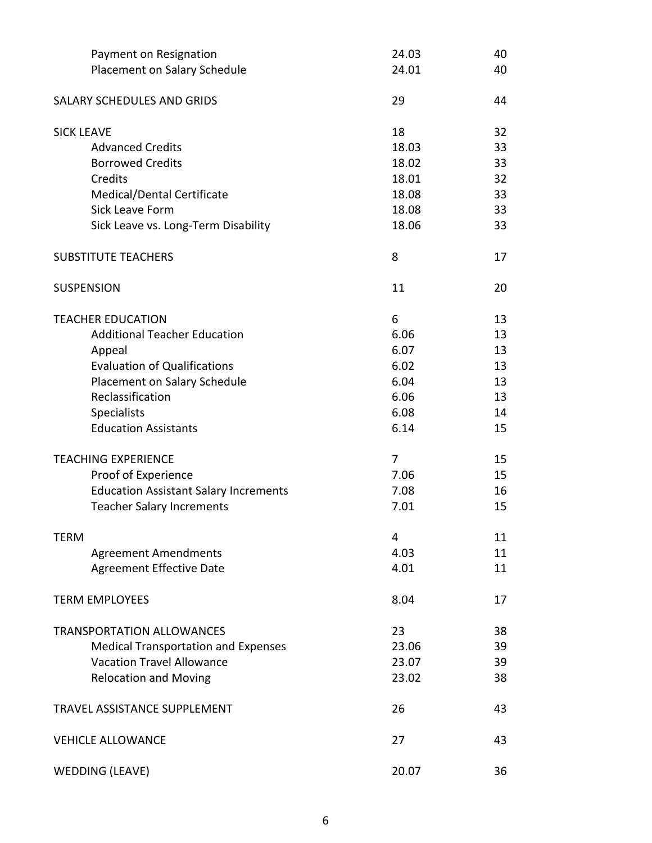| Payment on Resignation                       | 24.03 | 40 |
|----------------------------------------------|-------|----|
| Placement on Salary Schedule                 | 24.01 | 40 |
|                                              |       |    |
| SALARY SCHEDULES AND GRIDS                   | 29    | 44 |
| <b>SICK LEAVE</b>                            | 18    | 32 |
| <b>Advanced Credits</b>                      | 18.03 | 33 |
| <b>Borrowed Credits</b>                      | 18.02 | 33 |
| Credits                                      | 18.01 | 32 |
| Medical/Dental Certificate                   | 18.08 | 33 |
| <b>Sick Leave Form</b>                       | 18.08 | 33 |
| Sick Leave vs. Long-Term Disability          | 18.06 | 33 |
| <b>SUBSTITUTE TEACHERS</b>                   | 8     | 17 |
| <b>SUSPENSION</b>                            | 11    | 20 |
| <b>TEACHER EDUCATION</b>                     | 6     | 13 |
| <b>Additional Teacher Education</b>          | 6.06  | 13 |
| Appeal                                       | 6.07  | 13 |
| <b>Evaluation of Qualifications</b>          | 6.02  | 13 |
| Placement on Salary Schedule                 | 6.04  | 13 |
| Reclassification                             | 6.06  | 13 |
| <b>Specialists</b>                           | 6.08  | 14 |
| <b>Education Assistants</b>                  | 6.14  | 15 |
| <b>TEACHING EXPERIENCE</b>                   | 7     | 15 |
| Proof of Experience                          | 7.06  | 15 |
| <b>Education Assistant Salary Increments</b> | 7.08  | 16 |
| <b>Teacher Salary Increments</b>             | 7.01  | 15 |
| <b>TERM</b>                                  | 4     | 11 |
| <b>Agreement Amendments</b>                  | 4.03  | 11 |
| <b>Agreement Effective Date</b>              | 4.01  | 11 |
| <b>TERM EMPLOYEES</b>                        | 8.04  | 17 |
| <b>TRANSPORTATION ALLOWANCES</b>             | 23    | 38 |
| <b>Medical Transportation and Expenses</b>   | 23.06 | 39 |
| <b>Vacation Travel Allowance</b>             | 23.07 | 39 |
| <b>Relocation and Moving</b>                 | 23.02 | 38 |
| TRAVEL ASSISTANCE SUPPLEMENT                 | 26    | 43 |
| <b>VEHICLE ALLOWANCE</b>                     | 27    | 43 |
| <b>WEDDING (LEAVE)</b>                       | 20.07 | 36 |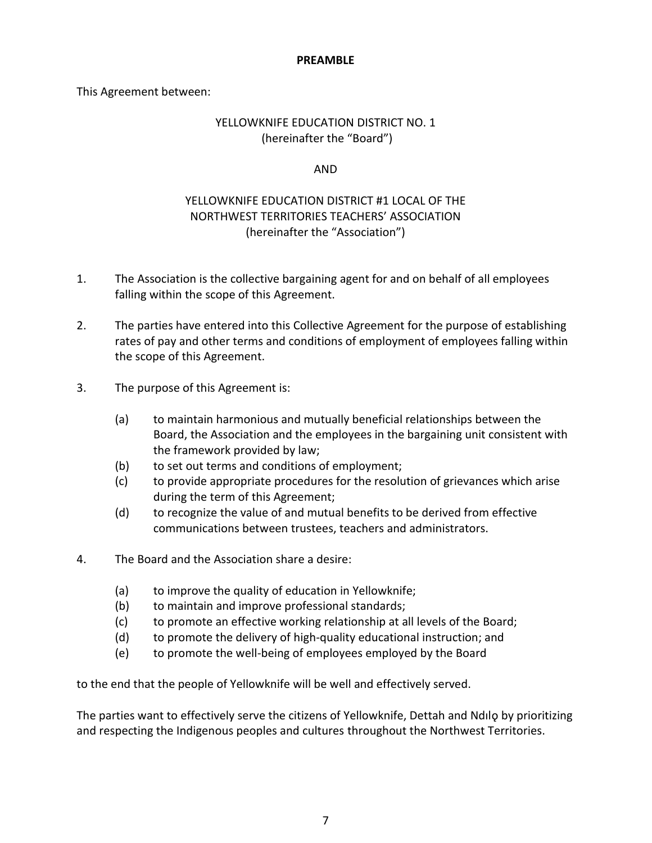#### **PREAMBLE**

This Agreement between:

## YELLOWKNIFE EDUCATION DISTRICT NO. 1 (hereinafter the "Board")

## AND

# YELLOWKNIFE EDUCATION DISTRICT #1 LOCAL OF THE NORTHWEST TERRITORIES TEACHERS' ASSOCIATION (hereinafter the "Association")

- 1. The Association is the collective bargaining agent for and on behalf of all employees falling within the scope of this Agreement.
- 2. The parties have entered into this Collective Agreement for the purpose of establishing rates of pay and other terms and conditions of employment of employees falling within the scope of this Agreement.
- 3. The purpose of this Agreement is:
	- (a) to maintain harmonious and mutually beneficial relationships between the Board, the Association and the employees in the bargaining unit consistent with the framework provided by law;
	- (b) to set out terms and conditions of employment;
	- (c) to provide appropriate procedures for the resolution of grievances which arise during the term of this Agreement;
	- (d) to recognize the value of and mutual benefits to be derived from effective communications between trustees, teachers and administrators.
- 4. The Board and the Association share a desire:
	- (a) to improve the quality of education in Yellowknife;
	- (b) to maintain and improve professional standards;
	- (c) to promote an effective working relationship at all levels of the Board;
	- (d) to promote the delivery of high-quality educational instruction; and
	- (e) to promote the well-being of employees employed by the Board

to the end that the people of Yellowknife will be well and effectively served.

The parties want to effectively serve the citizens of Yellowknife, Dettah and Ndılo by prioritizing and respecting the Indigenous peoples and cultures throughout the Northwest Territories.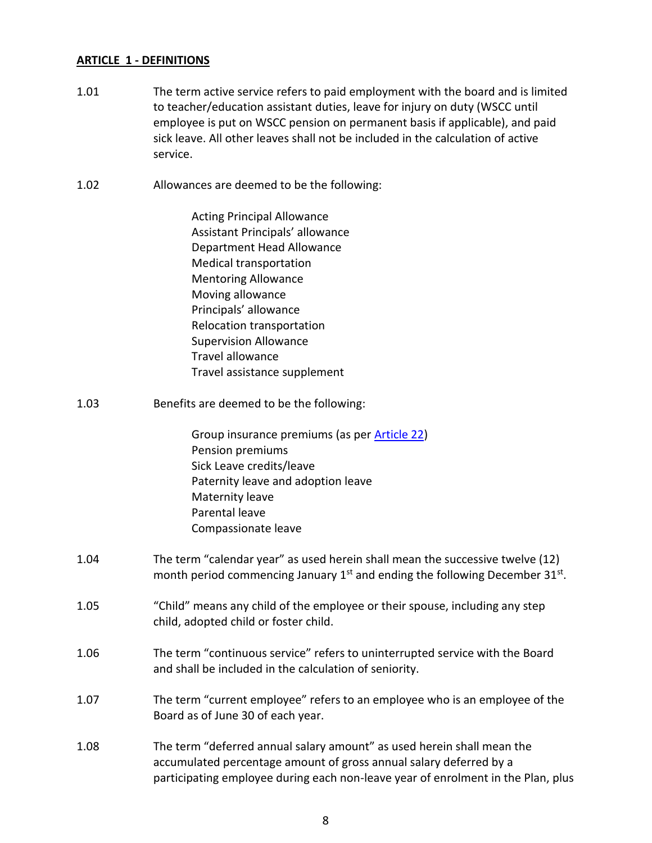## **ARTICLE 1 - DEFINITIONS**

- 1.01 The term active service refers to paid employment with the board and is limited to teacher/education assistant duties, leave for injury on duty (WSCC until employee is put on WSCC pension on permanent basis if applicable), and paid sick leave. All other leaves shall not be included in the calculation of active service.
- 1.02 Allowances are deemed to be the following:

Acting Principal Allowance Assistant Principals' allowance Department Head Allowance Medical transportation Mentoring Allowance Moving allowance Principals' allowance Relocation transportation Supervision Allowance Travel allowance Travel assistance supplement

1.03 Benefits are deemed to be the following:

Group insurance premiums (as per [Article 22\)](#page-37-0) Pension premiums Sick Leave credits/leave Paternity leave and adoption leave Maternity leave Parental leave Compassionate leave

- 1.04 The term "calendar year" as used herein shall mean the successive twelve (12) month period commencing January  $1<sup>st</sup>$  and ending the following December 31 $<sup>st</sup>$ .</sup>
- 1.05 "Child" means any child of the employee or their spouse, including any step child, adopted child or foster child.
- 1.06 The term "continuous service" refers to uninterrupted service with the Board and shall be included in the calculation of seniority.
- 1.07 The term "current employee" refers to an employee who is an employee of the Board as of June 30 of each year.
- 1.08 The term "deferred annual salary amount" as used herein shall mean the accumulated percentage amount of gross annual salary deferred by a participating employee during each non-leave year of enrolment in the Plan, plus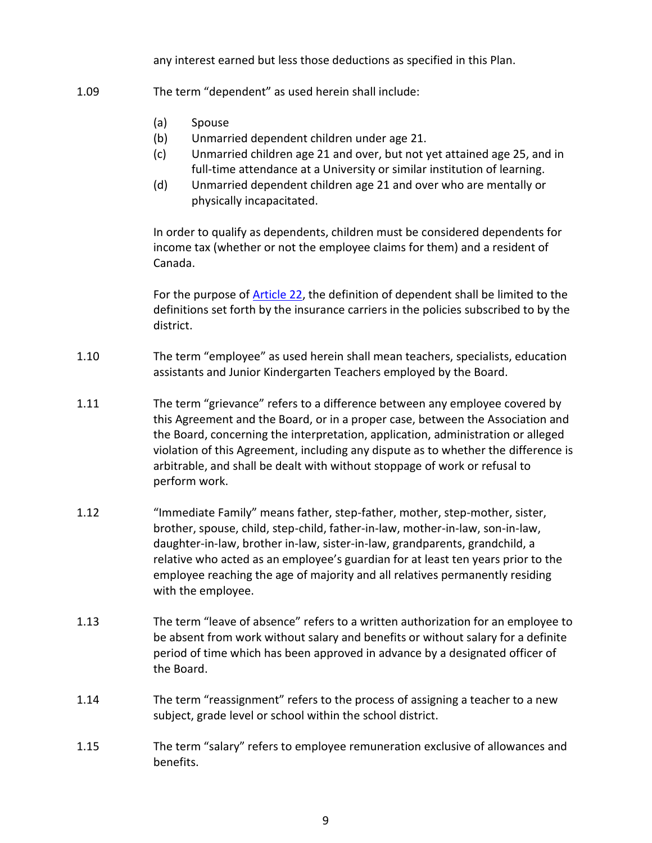any interest earned but less those deductions as specified in this Plan.

- 1.09 The term "dependent" as used herein shall include:
	- (a) Spouse
	- (b) Unmarried dependent children under age 21.
	- (c) Unmarried children age 21 and over, but not yet attained age 25, and in full-time attendance at a University or similar institution of learning.
	- (d) Unmarried dependent children age 21 and over who are mentally or physically incapacitated.

In order to qualify as dependents, children must be considered dependents for income tax (whether or not the employee claims for them) and a resident of Canada.

For the purpose of [Article 22,](#page-37-0) the definition of dependent shall be limited to the definitions set forth by the insurance carriers in the policies subscribed to by the district.

- 1.10 The term "employee" as used herein shall mean teachers, specialists, education assistants and Junior Kindergarten Teachers employed by the Board.
- 1.11 The term "grievance" refers to a difference between any employee covered by this Agreement and the Board, or in a proper case, between the Association and the Board, concerning the interpretation, application, administration or alleged violation of this Agreement, including any dispute as to whether the difference is arbitrable, and shall be dealt with without stoppage of work or refusal to perform work.
- 1.12 "Immediate Family" means father, step-father, mother, step-mother, sister, brother, spouse, child, step-child, father-in-law, mother-in-law, son-in-law, daughter-in-law, brother in-law, sister-in-law, grandparents, grandchild, a relative who acted as an employee's guardian for at least ten years prior to the employee reaching the age of majority and all relatives permanently residing with the employee.
- 1.13 The term "leave of absence" refers to a written authorization for an employee to be absent from work without salary and benefits or without salary for a definite period of time which has been approved in advance by a designated officer of the Board.
- 1.14 The term "reassignment" refers to the process of assigning a teacher to a new subject, grade level or school within the school district.
- 1.15 The term "salary" refers to employee remuneration exclusive of allowances and benefits.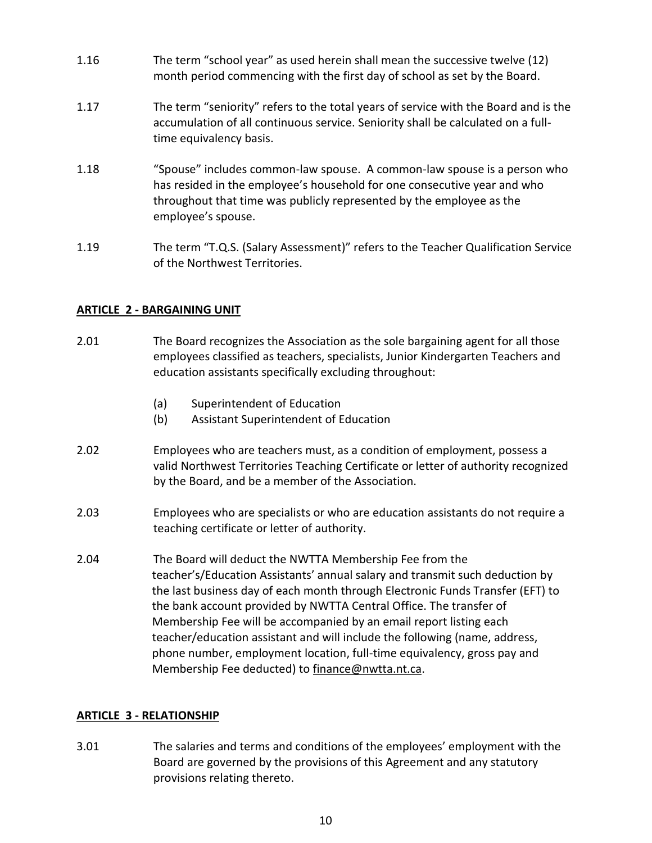- 1.16 The term "school year" as used herein shall mean the successive twelve (12) month period commencing with the first day of school as set by the Board.
- 1.17 The term "seniority" refers to the total years of service with the Board and is the accumulation of all continuous service. Seniority shall be calculated on a fulltime equivalency basis.
- 1.18 "Spouse" includes common-law spouse. A common-law spouse is a person who has resided in the employee's household for one consecutive year and who throughout that time was publicly represented by the employee as the employee's spouse.
- 1.19 The term "T.Q.S. (Salary Assessment)" refers to the Teacher Qualification Service of the Northwest Territories.

## **ARTICLE 2 - BARGAINING UNIT**

- 2.01 The Board recognizes the Association as the sole bargaining agent for all those employees classified as teachers, specialists, Junior Kindergarten Teachers and education assistants specifically excluding throughout:
	- (a) Superintendent of Education
	- (b) Assistant Superintendent of Education
- 2.02 Employees who are teachers must, as a condition of employment, possess a valid Northwest Territories Teaching Certificate or letter of authority recognized by the Board, and be a member of the Association.
- 2.03 Employees who are specialists or who are education assistants do not require a teaching certificate or letter of authority.
- 2.04 The Board will deduct the NWTTA Membership Fee from the teacher's/Education Assistants' annual salary and transmit such deduction by the last business day of each month through Electronic Funds Transfer (EFT) to the bank account provided by NWTTA Central Office. The transfer of Membership Fee will be accompanied by an email report listing each teacher/education assistant and will include the following (name, address, phone number, employment location, full-time equivalency, gross pay and Membership Fee deducted) to [finance@nwtta.nt.ca.](mailto:finance@nwtta.nt.ca)

## **ARTICLE 3 - RELATIONSHIP**

3.01 The salaries and terms and conditions of the employees' employment with the Board are governed by the provisions of this Agreement and any statutory provisions relating thereto.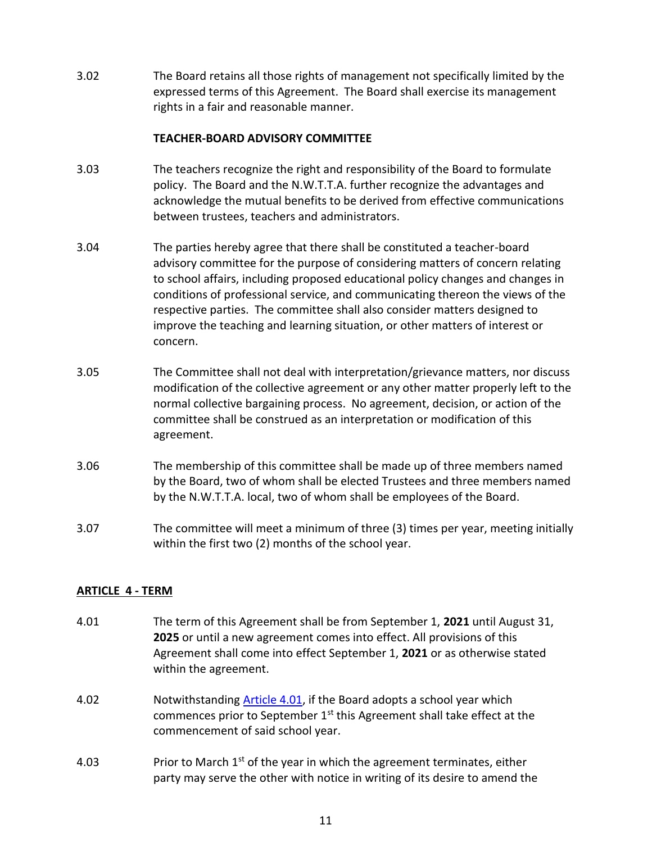3.02 The Board retains all those rights of management not specifically limited by the expressed terms of this Agreement. The Board shall exercise its management rights in a fair and reasonable manner.

## **TEACHER-BOARD ADVISORY COMMITTEE**

- 3.03 The teachers recognize the right and responsibility of the Board to formulate policy. The Board and the N.W.T.T.A. further recognize the advantages and acknowledge the mutual benefits to be derived from effective communications between trustees, teachers and administrators.
- 3.04 The parties hereby agree that there shall be constituted a teacher-board advisory committee for the purpose of considering matters of concern relating to school affairs, including proposed educational policy changes and changes in conditions of professional service, and communicating thereon the views of the respective parties. The committee shall also consider matters designed to improve the teaching and learning situation, or other matters of interest or concern.
- 3.05 The Committee shall not deal with interpretation/grievance matters, nor discuss modification of the collective agreement or any other matter properly left to the normal collective bargaining process. No agreement, decision, or action of the committee shall be construed as an interpretation or modification of this agreement.
- 3.06 The membership of this committee shall be made up of three members named by the Board, two of whom shall be elected Trustees and three members named by the N.W.T.T.A. local, two of whom shall be employees of the Board.
- 3.07 The committee will meet a minimum of three (3) times per year, meeting initially within the first two (2) months of the school year.

## **ARTICLE 4 - TERM**

- <span id="page-11-0"></span>4.01 The term of this Agreement shall be from September 1, **2021** until August 31, **2025** or until a new agreement comes into effect. All provisions of this Agreement shall come into effect September 1, **2021** or as otherwise stated within the agreement.
- 4.02 Notwithstanding [Article 4.01,](#page-11-0) if the Board adopts a school year which commences prior to September  $1<sup>st</sup>$  this Agreement shall take effect at the commencement of said school year.
- 4.03 Prior to March  $1^{st}$  of the year in which the agreement terminates, either party may serve the other with notice in writing of its desire to amend the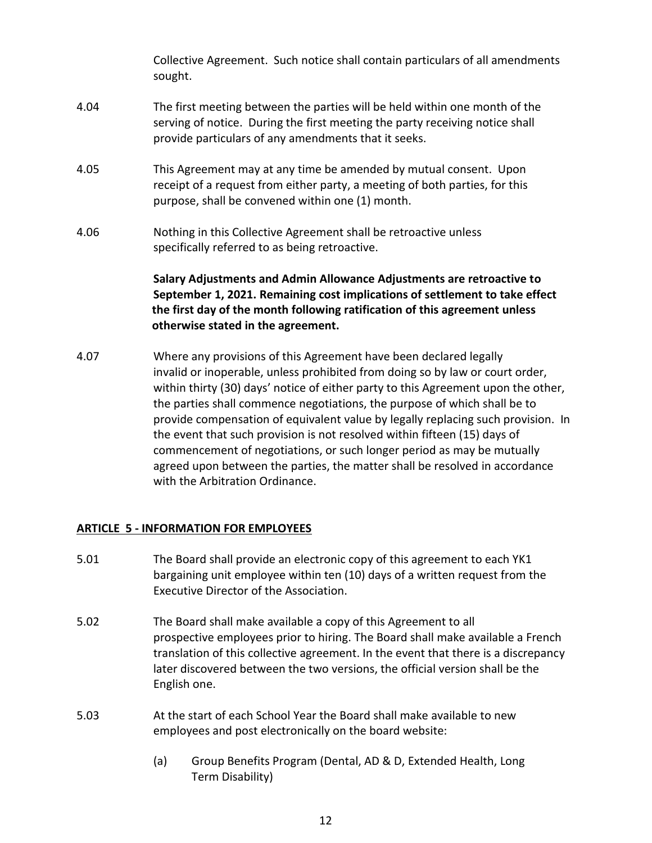Collective Agreement. Such notice shall contain particulars of all amendments sought.

- 4.04 The first meeting between the parties will be held within one month of the serving of notice. During the first meeting the party receiving notice shall provide particulars of any amendments that it seeks.
- 4.05 This Agreement may at any time be amended by mutual consent. Upon receipt of a request from either party, a meeting of both parties, for this purpose, shall be convened within one (1) month.
- 4.06 Nothing in this Collective Agreement shall be retroactive unless specifically referred to as being retroactive.

## **Salary Adjustments and Admin Allowance Adjustments are retroactive to September 1, 2021. Remaining cost implications of settlement to take effect the first day of the month following ratification of this agreement unless otherwise stated in the agreement.**

4.07 Where any provisions of this Agreement have been declared legally invalid or inoperable, unless prohibited from doing so by law or court order, within thirty (30) days' notice of either party to this Agreement upon the other, the parties shall commence negotiations, the purpose of which shall be to provide compensation of equivalent value by legally replacing such provision. In the event that such provision is not resolved within fifteen (15) days of commencement of negotiations, or such longer period as may be mutually agreed upon between the parties, the matter shall be resolved in accordance with the Arbitration Ordinance.

## **ARTICLE 5 - INFORMATION FOR EMPLOYEES**

- 5.01 The Board shall provide an electronic copy of this agreement to each YK1 bargaining unit employee within ten (10) days of a written request from the Executive Director of the Association.
- 5.02 The Board shall make available a copy of this Agreement to all prospective employees prior to hiring. The Board shall make available a French translation of this collective agreement. In the event that there is a discrepancy later discovered between the two versions, the official version shall be the English one.
- 5.03 At the start of each School Year the Board shall make available to new employees and post electronically on the board website:
	- (a) Group Benefits Program (Dental, AD & D, Extended Health, Long Term Disability)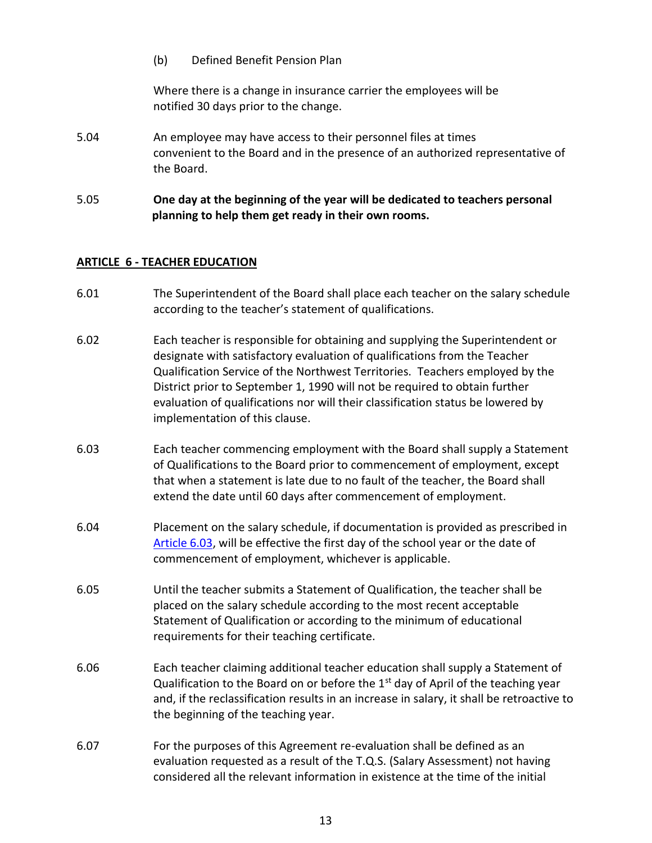#### (b) Defined Benefit Pension Plan

Where there is a change in insurance carrier the employees will be notified 30 days prior to the change.

- 5.04 An employee may have access to their personnel files at times convenient to the Board and in the presence of an authorized representative of the Board.
- 5.05 **One day at the beginning of the year will be dedicated to teachers personal planning to help them get ready in their own rooms.**

## <span id="page-13-1"></span>**ARTICLE 6 - TEACHER EDUCATION**

- 6.01 The Superintendent of the Board shall place each teacher on the salary schedule according to the teacher's statement of qualifications.
- 6.02 Each teacher is responsible for obtaining and supplying the Superintendent or designate with satisfactory evaluation of qualifications from the Teacher Qualification Service of the Northwest Territories. Teachers employed by the District prior to September 1, 1990 will not be required to obtain further evaluation of qualifications nor will their classification status be lowered by implementation of this clause.
- <span id="page-13-0"></span>6.03 Each teacher commencing employment with the Board shall supply a Statement of Qualifications to the Board prior to commencement of employment, except that when a statement is late due to no fault of the teacher, the Board shall extend the date until 60 days after commencement of employment.
- 6.04 Placement on the salary schedule, if documentation is provided as prescribed in [Article 6.03,](#page-13-0) will be effective the first day of the school year or the date of commencement of employment, whichever is applicable.
- 6.05 Until the teacher submits a Statement of Qualification, the teacher shall be placed on the salary schedule according to the most recent acceptable Statement of Qualification or according to the minimum of educational requirements for their teaching certificate.
- 6.06 Each teacher claiming additional teacher education shall supply a Statement of Qualification to the Board on or before the  $1<sup>st</sup>$  day of April of the teaching year and, if the reclassification results in an increase in salary, it shall be retroactive to the beginning of the teaching year.
- 6.07 For the purposes of this Agreement re-evaluation shall be defined as an evaluation requested as a result of the T.Q.S. (Salary Assessment) not having considered all the relevant information in existence at the time of the initial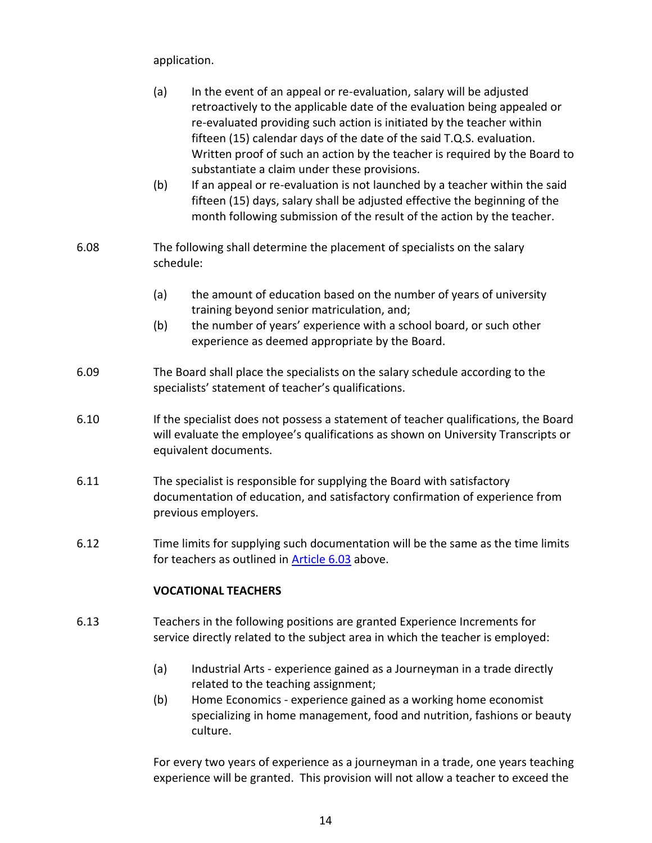application.

| (a) | In the event of an appeal or re-evaluation, salary will be adjusted        |
|-----|----------------------------------------------------------------------------|
|     | retroactively to the applicable date of the evaluation being appealed or   |
|     | re-evaluated providing such action is initiated by the teacher within      |
|     | fifteen (15) calendar days of the date of the said T.Q.S. evaluation.      |
|     | Written proof of such an action by the teacher is required by the Board to |
|     | substantiate a claim under these provisions.                               |

- (b) If an appeal or re-evaluation is not launched by a teacher within the said fifteen (15) days, salary shall be adjusted effective the beginning of the month following submission of the result of the action by the teacher.
- 6.08 The following shall determine the placement of specialists on the salary schedule:
	- (a) the amount of education based on the number of years of university training beyond senior matriculation, and;
	- (b) the number of years' experience with a school board, or such other experience as deemed appropriate by the Board.
- 6.09 The Board shall place the specialists on the salary schedule according to the specialists' statement of teacher's qualifications.
- 6.10 If the specialist does not possess a statement of teacher qualifications, the Board will evaluate the employee's qualifications as shown on University Transcripts or equivalent documents.
- 6.11 The specialist is responsible for supplying the Board with satisfactory documentation of education, and satisfactory confirmation of experience from previous employers.
- 6.12 Time limits for supplying such documentation will be the same as the time limits for teachers as outlined in **Article 6.03** above.

## **VOCATIONAL TEACHERS**

- 6.13 Teachers in the following positions are granted Experience Increments for service directly related to the subject area in which the teacher is employed:
	- (a) Industrial Arts experience gained as a Journeyman in a trade directly related to the teaching assignment;
	- (b) Home Economics experience gained as a working home economist specializing in home management, food and nutrition, fashions or beauty culture.

For every two years of experience as a journeyman in a trade, one years teaching experience will be granted. This provision will not allow a teacher to exceed the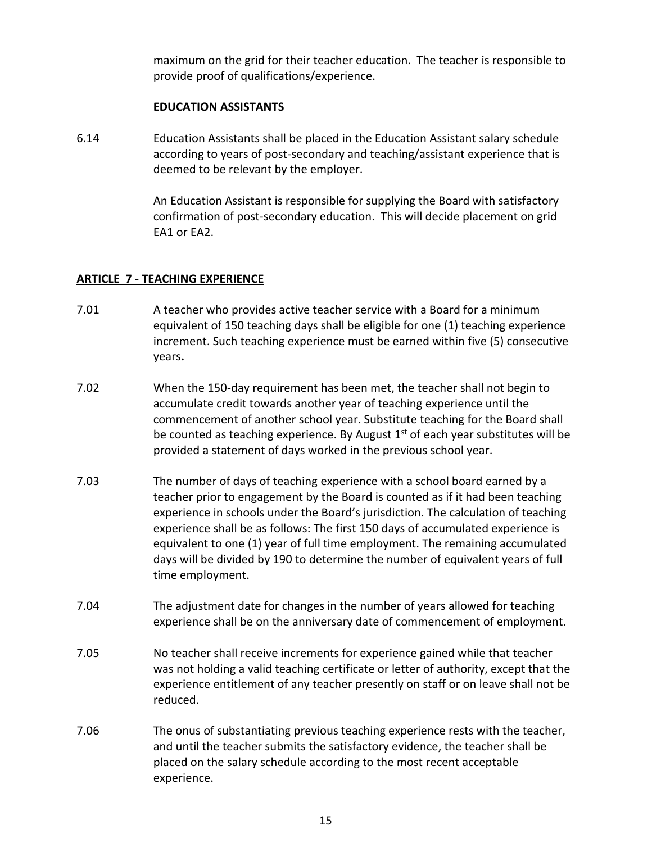maximum on the grid for their teacher education. The teacher is responsible to provide proof of qualifications/experience.

#### **EDUCATION ASSISTANTS**

6.14 Education Assistants shall be placed in the Education Assistant salary schedule according to years of post-secondary and teaching/assistant experience that is deemed to be relevant by the employer.

> An Education Assistant is responsible for supplying the Board with satisfactory confirmation of post-secondary education. This will decide placement on grid EA1 or EA2.

## <span id="page-15-1"></span>**ARTICLE 7 - TEACHING EXPERIENCE**

- 7.01 A teacher who provides active teacher service with a Board for a minimum equivalent of 150 teaching days shall be eligible for one (1) teaching experience increment. Such teaching experience must be earned within five (5) consecutive years**.**
- 7.02 When the 150-day requirement has been met, the teacher shall not begin to accumulate credit towards another year of teaching experience until the commencement of another school year. Substitute teaching for the Board shall be counted as teaching experience. By August  $1<sup>st</sup>$  of each year substitutes will be provided a statement of days worked in the previous school year.
- 7.03 The number of days of teaching experience with a school board earned by a teacher prior to engagement by the Board is counted as if it had been teaching experience in schools under the Board's jurisdiction. The calculation of teaching experience shall be as follows: The first 150 days of accumulated experience is equivalent to one (1) year of full time employment. The remaining accumulated days will be divided by 190 to determine the number of equivalent years of full time employment.
- 7.04 The adjustment date for changes in the number of years allowed for teaching experience shall be on the anniversary date of commencement of employment.
- <span id="page-15-0"></span>7.05 No teacher shall receive increments for experience gained while that teacher was not holding a valid teaching certificate or letter of authority, except that the experience entitlement of any teacher presently on staff or on leave shall not be reduced.
- 7.06 The onus of substantiating previous teaching experience rests with the teacher, and until the teacher submits the satisfactory evidence, the teacher shall be placed on the salary schedule according to the most recent acceptable experience.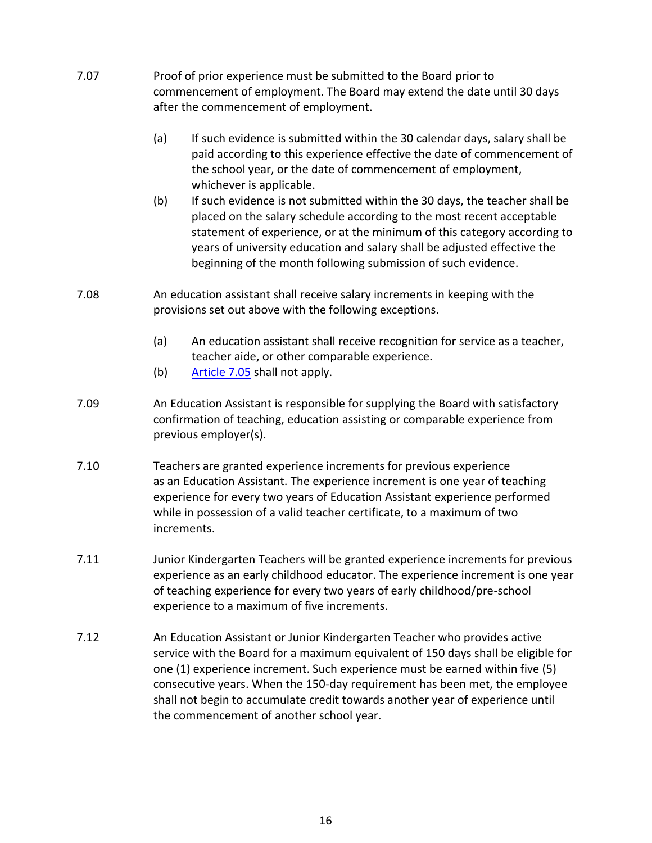| 7.07 | Proof of prior experience must be submitted to the Board prior to<br>commencement of employment. The Board may extend the date until 30 days<br>after the commencement of employment.                                                                                                                                                                                                                                                                     |
|------|-----------------------------------------------------------------------------------------------------------------------------------------------------------------------------------------------------------------------------------------------------------------------------------------------------------------------------------------------------------------------------------------------------------------------------------------------------------|
|      | (a)<br>If such evidence is submitted within the 30 calendar days, salary shall be<br>paid according to this experience effective the date of commencement of<br>the school year, or the date of commencement of employment,<br>whichever is applicable.                                                                                                                                                                                                   |
|      | (b)<br>If such evidence is not submitted within the 30 days, the teacher shall be<br>placed on the salary schedule according to the most recent acceptable<br>statement of experience, or at the minimum of this category according to<br>years of university education and salary shall be adjusted effective the<br>beginning of the month following submission of such evidence.                                                                       |
| 7.08 | An education assistant shall receive salary increments in keeping with the<br>provisions set out above with the following exceptions.                                                                                                                                                                                                                                                                                                                     |
|      | (a)<br>An education assistant shall receive recognition for service as a teacher,<br>teacher aide, or other comparable experience.                                                                                                                                                                                                                                                                                                                        |
|      | (b)<br>Article 7.05 shall not apply.                                                                                                                                                                                                                                                                                                                                                                                                                      |
| 7.09 | An Education Assistant is responsible for supplying the Board with satisfactory<br>confirmation of teaching, education assisting or comparable experience from<br>previous employer(s).                                                                                                                                                                                                                                                                   |
| 7.10 | Teachers are granted experience increments for previous experience<br>as an Education Assistant. The experience increment is one year of teaching<br>experience for every two years of Education Assistant experience performed<br>while in possession of a valid teacher certificate, to a maximum of two<br>increments.                                                                                                                                 |
| 7.11 | Junior Kindergarten Teachers will be granted experience increments for previous<br>experience as an early childhood educator. The experience increment is one year<br>of teaching experience for every two years of early childhood/pre-school<br>experience to a maximum of five increments.                                                                                                                                                             |
| 7.12 | An Education Assistant or Junior Kindergarten Teacher who provides active<br>service with the Board for a maximum equivalent of 150 days shall be eligible for<br>one (1) experience increment. Such experience must be earned within five (5)<br>consecutive years. When the 150-day requirement has been met, the employee<br>shall not begin to accumulate credit towards another year of experience until<br>the commencement of another school year. |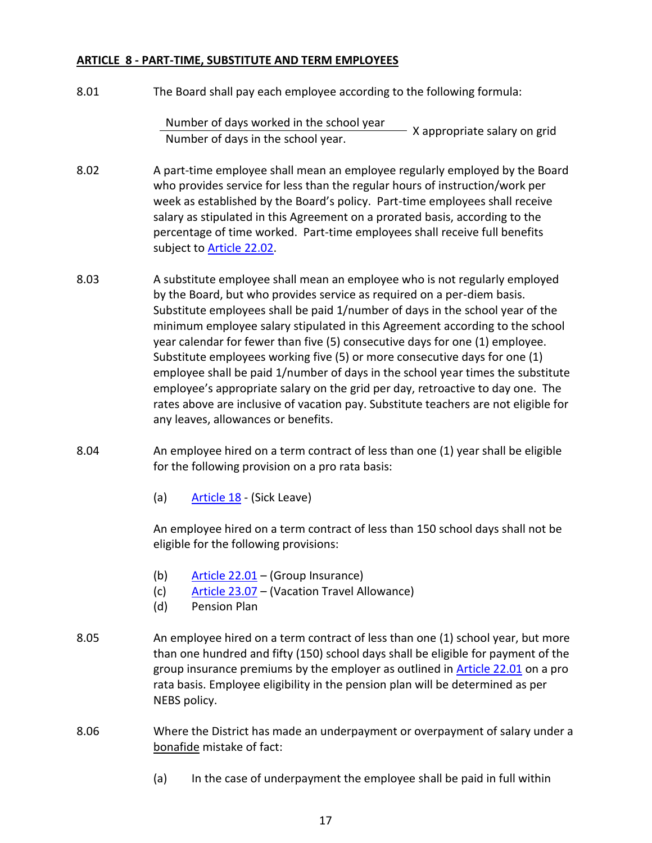## **ARTICLE 8 - PART-TIME, SUBSTITUTE AND TERM EMPLOYEES**

8.01 The Board shall pay each employee according to the following formula:

```
Number of days worked in the school year <br>Number of days in the school year.<br>Number of days in the school year.
```
- 8.02 A part-time employee shall mean an employee regularly employed by the Board who provides service for less than the regular hours of instruction/work per week as established by the Board's policy. Part-time employees shall receive salary as stipulated in this Agreement on a prorated basis, according to the percentage of time worked. Part-time employees shall receive full benefits subject to [Article 22.02.](#page-37-1)
- 8.03 A substitute employee shall mean an employee who is not regularly employed by the Board, but who provides service as required on a per-diem basis. Substitute employees shall be paid 1/number of days in the school year of the minimum employee salary stipulated in this Agreement according to the school year calendar for fewer than five (5) consecutive days for one (1) employee. Substitute employees working five (5) or more consecutive days for one (1) employee shall be paid 1/number of days in the school year times the substitute employee's appropriate salary on the grid per day, retroactive to day one. The rates above are inclusive of vacation pay. Substitute teachers are not eligible for any leaves, allowances or benefits.
- 8.04 An employee hired on a term contract of less than one (1) year shall be eligible for the following provision on a pro rata basis:
	- (a) [Article 18](#page-32-0) (Sick Leave)

An employee hired on a term contract of less than 150 school days shall not be eligible for the following provisions:

- (b) [Article 22.01](#page-37-2) (Group Insurance)
- (c) [Article 23.07](#page-39-0) (Vacation Travel Allowance)
- (d) Pension Plan
- 8.05 An employee hired on a term contract of less than one (1) school year, but more than one hundred and fifty (150) school days shall be eligible for payment of the group insurance premiums by the employer as outlined in [Article](#page-37-2) 22.01 on a pro rata basis. Employee eligibility in the pension plan will be determined as per NEBS policy.
- 8.06 Where the District has made an underpayment or overpayment of salary under a bonafide mistake of fact:
	- (a) In the case of underpayment the employee shall be paid in full within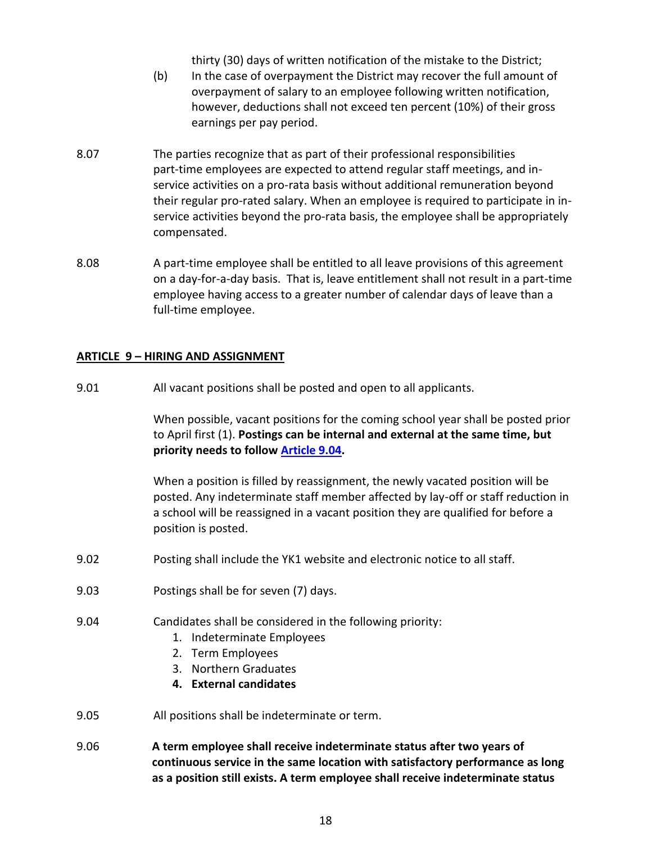thirty (30) days of written notification of the mistake to the District;

- (b) In the case of overpayment the District may recover the full amount of overpayment of salary to an employee following written notification, however, deductions shall not exceed ten percent (10%) of their gross earnings per pay period.
- 8.07 The parties recognize that as part of their professional responsibilities part-time employees are expected to attend regular staff meetings, and inservice activities on a pro-rata basis without additional remuneration beyond their regular pro-rated salary. When an employee is required to participate in inservice activities beyond the pro-rata basis, the employee shall be appropriately compensated.
- 8.08 A part-time employee shall be entitled to all leave provisions of this agreement on a day-for-a-day basis. That is, leave entitlement shall not result in a part-time employee having access to a greater number of calendar days of leave than a full-time employee.

## **ARTICLE 9 – HIRING AND ASSIGNMENT**

9.01 All vacant positions shall be posted and open to all applicants.

When possible, vacant positions for the coming school year shall be posted prior to April first (1). **Postings can be internal and external at the same time, but priority needs to follow [Article 9.04.](#page-18-0)**

When a position is filled by reassignment, the newly vacated position will be posted. Any indeterminate staff member affected by lay-off or staff reduction in a school will be reassigned in a vacant position they are qualified for before a position is posted.

- 9.02 Posting shall include the YK1 website and electronic notice to all staff.
- 9.03 Postings shall be for seven (7) days.
- <span id="page-18-0"></span>9.04 Candidates shall be considered in the following priority:
	- 1. Indeterminate Employees
	- 2. Term Employees
	- 3. Northern Graduates
	- **4. External candidates**
- 9.05 All positions shall be indeterminate or term.
- 9.06 **A term employee shall receive indeterminate status after two years of continuous service in the same location with satisfactory performance as long as a position still exists. A term employee shall receive indeterminate status**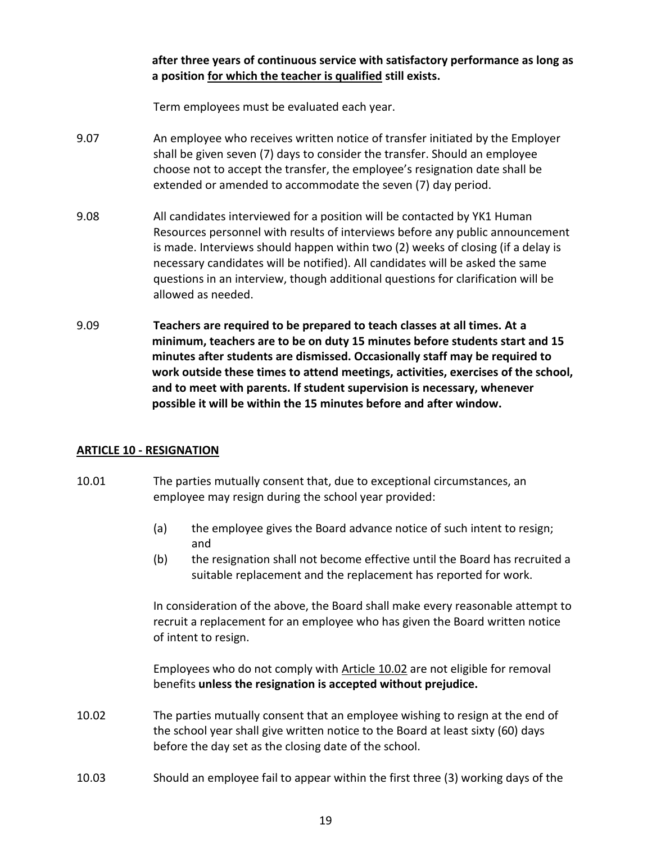**after three years of continuous service with satisfactory performance as long as a position for which the teacher is qualified still exists.**

Term employees must be evaluated each year.

- 9.07 An employee who receives written notice of transfer initiated by the Employer shall be given seven (7) days to consider the transfer. Should an employee choose not to accept the transfer, the employee's resignation date shall be extended or amended to accommodate the seven (7) day period.
- 9.08 All candidates interviewed for a position will be contacted by YK1 Human Resources personnel with results of interviews before any public announcement is made. Interviews should happen within two (2) weeks of closing (if a delay is necessary candidates will be notified). All candidates will be asked the same questions in an interview, though additional questions for clarification will be allowed as needed.
- 9.09 **Teachers are required to be prepared to teach classes at all times. At a minimum, teachers are to be on duty 15 minutes before students start and 15 minutes after students are dismissed. Occasionally staff may be required to work outside these times to attend meetings, activities, exercises of the school, and to meet with parents. If student supervision is necessary, whenever possible it will be within the 15 minutes before and after window.**

## <span id="page-19-1"></span>**ARTICLE 10 - RESIGNATION**

- 10.01 The parties mutually consent that, due to exceptional circumstances, an employee may resign during the school year provided:
	- (a) the employee gives the Board advance notice of such intent to resign; and
	- (b) the resignation shall not become effective until the Board has recruited a suitable replacement and the replacement has reported for work.

In consideration of the above, the Board shall make every reasonable attempt to recruit a replacement for an employee who has given the Board written notice of intent to resign.

Employees who do not comply with [Article 10.02](#page-19-0) are not eligible for removal benefits **unless the resignation is accepted without prejudice.**

- <span id="page-19-0"></span>10.02 The parties mutually consent that an employee wishing to resign at the end of the school year shall give written notice to the Board at least sixty (60) days before the day set as the closing date of the school.
- 10.03 Should an employee fail to appear within the first three (3) working days of the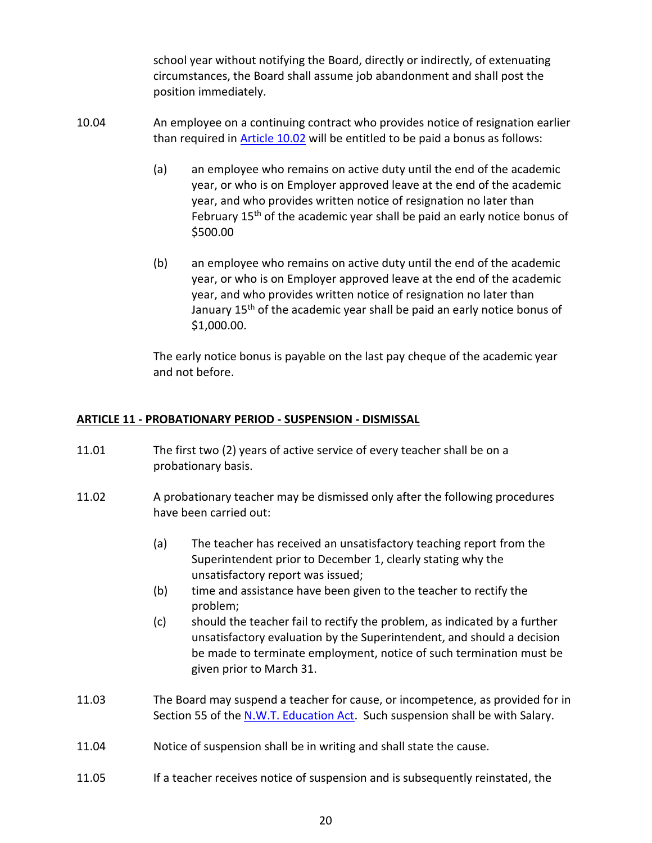school year without notifying the Board, directly or indirectly, of extenuating circumstances, the Board shall assume job abandonment and shall post the position immediately.

- 10.04 An employee on a continuing contract who provides notice of resignation earlier than required in [Article 10.02](#page-19-0) will be entitled to be paid a bonus as follows:
	- (a) an employee who remains on active duty until the end of the academic year, or who is on Employer approved leave at the end of the academic year, and who provides written notice of resignation no later than February 15<sup>th</sup> of the academic year shall be paid an early notice bonus of \$500.00
	- (b) an employee who remains on active duty until the end of the academic year, or who is on Employer approved leave at the end of the academic year, and who provides written notice of resignation no later than January 15<sup>th</sup> of the academic year shall be paid an early notice bonus of \$1,000.00.

The early notice bonus is payable on the last pay cheque of the academic year and not before.

## **ARTICLE 11 - PROBATIONARY PERIOD - SUSPENSION - DISMISSAL**

- 11.01 The first two (2) years of active service of every teacher shall be on a probationary basis.
- 11.02 A probationary teacher may be dismissed only after the following procedures have been carried out:
	- (a) The teacher has received an unsatisfactory teaching report from the Superintendent prior to December 1, clearly stating why the unsatisfactory report was issued;
	- (b) time and assistance have been given to the teacher to rectify the problem;
	- (c) should the teacher fail to rectify the problem, as indicated by a further unsatisfactory evaluation by the Superintendent, and should a decision be made to terminate employment, notice of such termination must be given prior to March 31.
- 11.03 The Board may suspend a teacher for cause, or incompetence, as provided for in Section 55 of the [N.W.T. Education Act.](https://www.justice.gov.nt.ca/en/files/legislation/education/education.a.pdf) Such suspension shall be with Salary.
- 11.04 Notice of suspension shall be in writing and shall state the cause.
- 11.05 If a teacher receives notice of suspension and is subsequently reinstated, the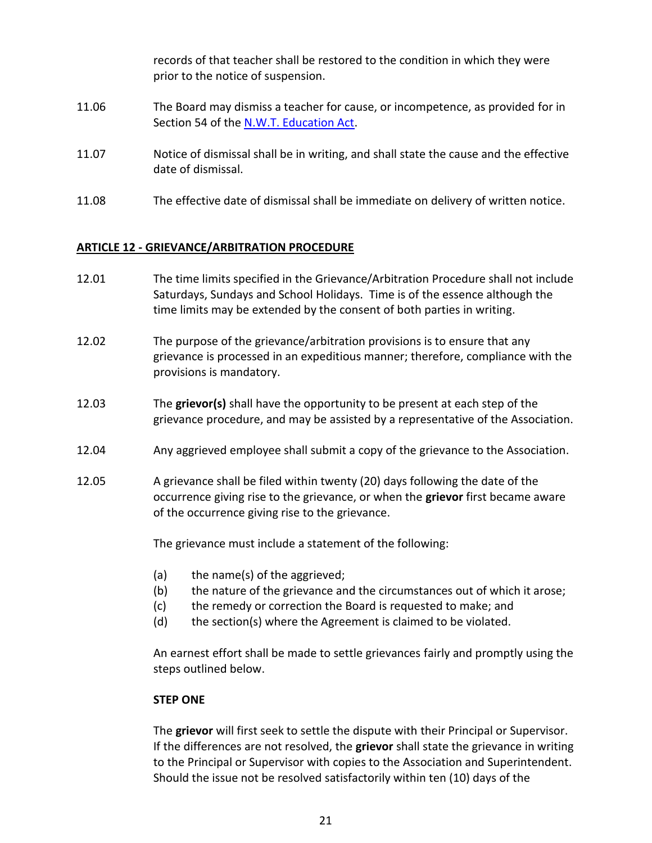records of that teacher shall be restored to the condition in which they were prior to the notice of suspension. 11.06 The Board may dismiss a teacher for cause, or incompetence, as provided for in Section 54 of the [N.W.T. Education Act.](https://www.justice.gov.nt.ca/en/files/legislation/education/education.a.pdf) 11.07 Notice of dismissal shall be in writing, and shall state the cause and the effective date of dismissal.

11.08 The effective date of dismissal shall be immediate on delivery of written notice.

## **ARTICLE 12 - GRIEVANCE/ARBITRATION PROCEDURE**

- 12.01 The time limits specified in the Grievance/Arbitration Procedure shall not include Saturdays, Sundays and School Holidays. Time is of the essence although the time limits may be extended by the consent of both parties in writing.
- 12.02 The purpose of the grievance/arbitration provisions is to ensure that any grievance is processed in an expeditious manner; therefore, compliance with the provisions is mandatory.
- 12.03 The **grievor(s)** shall have the opportunity to be present at each step of the grievance procedure, and may be assisted by a representative of the Association.
- 12.04 Any aggrieved employee shall submit a copy of the grievance to the Association.
- 12.05 A grievance shall be filed within twenty (20) days following the date of the occurrence giving rise to the grievance, or when the **grievor** first became aware of the occurrence giving rise to the grievance.

The grievance must include a statement of the following:

- (a) the name(s) of the aggrieved;
- (b) the nature of the grievance and the circumstances out of which it arose;
- (c) the remedy or correction the Board is requested to make; and
- (d) the section(s) where the Agreement is claimed to be violated.

An earnest effort shall be made to settle grievances fairly and promptly using the steps outlined below.

#### **STEP ONE**

The **grievor** will first seek to settle the dispute with their Principal or Supervisor. If the differences are not resolved, the **grievor** shall state the grievance in writing to the Principal or Supervisor with copies to the Association and Superintendent. Should the issue not be resolved satisfactorily within ten (10) days of the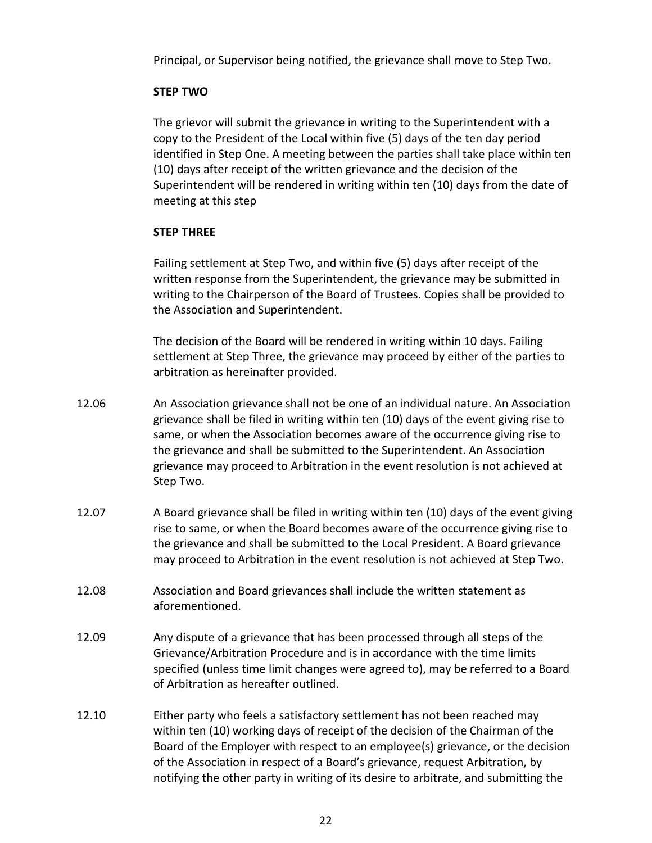Principal, or Supervisor being notified, the grievance shall move to Step Two.

## **STEP TWO**

The grievor will submit the grievance in writing to the Superintendent with a copy to the President of the Local within five (5) days of the ten day period identified in Step One. A meeting between the parties shall take place within ten (10) days after receipt of the written grievance and the decision of the Superintendent will be rendered in writing within ten (10) days from the date of meeting at this step

## **STEP THREE**

Failing settlement at Step Two, and within five (5) days after receipt of the written response from the Superintendent, the grievance may be submitted in writing to the Chairperson of the Board of Trustees. Copies shall be provided to the Association and Superintendent.

The decision of the Board will be rendered in writing within 10 days. Failing settlement at Step Three, the grievance may proceed by either of the parties to arbitration as hereinafter provided.

- 12.06 An Association grievance shall not be one of an individual nature. An Association grievance shall be filed in writing within ten (10) days of the event giving rise to same, or when the Association becomes aware of the occurrence giving rise to the grievance and shall be submitted to the Superintendent. An Association grievance may proceed to Arbitration in the event resolution is not achieved at Step Two.
- 12.07 A Board grievance shall be filed in writing within ten (10) days of the event giving rise to same, or when the Board becomes aware of the occurrence giving rise to the grievance and shall be submitted to the Local President. A Board grievance may proceed to Arbitration in the event resolution is not achieved at Step Two.
- 12.08 Association and Board grievances shall include the written statement as aforementioned.
- 12.09 Any dispute of a grievance that has been processed through all steps of the Grievance/Arbitration Procedure and is in accordance with the time limits specified (unless time limit changes were agreed to), may be referred to a Board of Arbitration as hereafter outlined.
- 12.10 Either party who feels a satisfactory settlement has not been reached may within ten (10) working days of receipt of the decision of the Chairman of the Board of the Employer with respect to an employee(s) grievance, or the decision of the Association in respect of a Board's grievance, request Arbitration, by notifying the other party in writing of its desire to arbitrate, and submitting the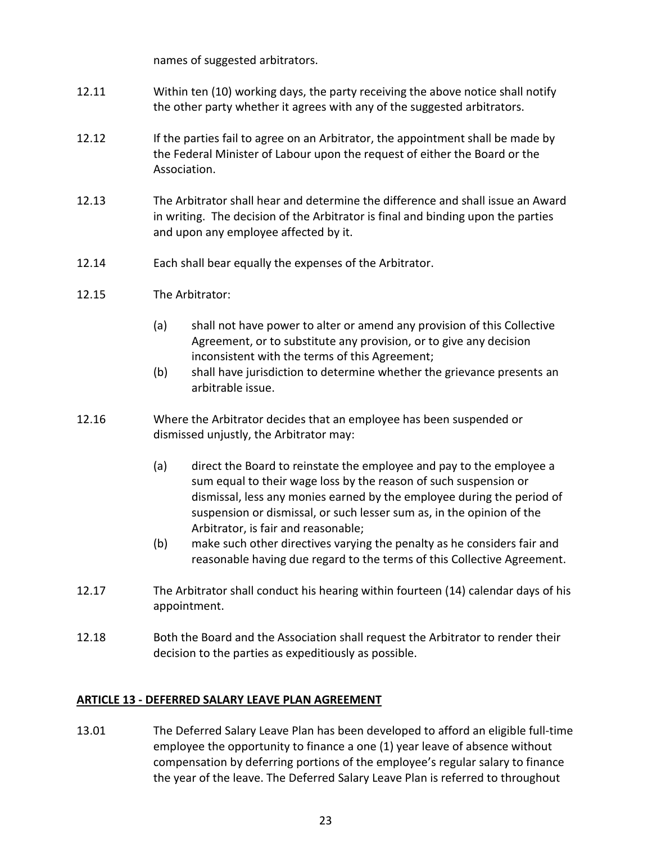names of suggested arbitrators.

- 12.11 Within ten (10) working days, the party receiving the above notice shall notify the other party whether it agrees with any of the suggested arbitrators.
- 12.12 If the parties fail to agree on an Arbitrator, the appointment shall be made by the Federal Minister of Labour upon the request of either the Board or the Association.
- 12.13 The Arbitrator shall hear and determine the difference and shall issue an Award in writing. The decision of the Arbitrator is final and binding upon the parties and upon any employee affected by it.
- 12.14 Each shall bear equally the expenses of the Arbitrator.
- 12.15 The Arbitrator:
	- (a) shall not have power to alter or amend any provision of this Collective Agreement, or to substitute any provision, or to give any decision inconsistent with the terms of this Agreement;
	- (b) shall have jurisdiction to determine whether the grievance presents an arbitrable issue.
- 12.16 Where the Arbitrator decides that an employee has been suspended or dismissed unjustly, the Arbitrator may:
	- (a) direct the Board to reinstate the employee and pay to the employee a sum equal to their wage loss by the reason of such suspension or dismissal, less any monies earned by the employee during the period of suspension or dismissal, or such lesser sum as, in the opinion of the Arbitrator, is fair and reasonable;
	- (b) make such other directives varying the penalty as he considers fair and reasonable having due regard to the terms of this Collective Agreement.
- 12.17 The Arbitrator shall conduct his hearing within fourteen (14) calendar days of his appointment.
- 12.18 Both the Board and the Association shall request the Arbitrator to render their decision to the parties as expeditiously as possible.

## **ARTICLE 13 - DEFERRED SALARY LEAVE PLAN AGREEMENT**

13.01 The Deferred Salary Leave Plan has been developed to afford an eligible full-time employee the opportunity to finance a one (1) year leave of absence without compensation by deferring portions of the employee's regular salary to finance the year of the leave. The Deferred Salary Leave Plan is referred to throughout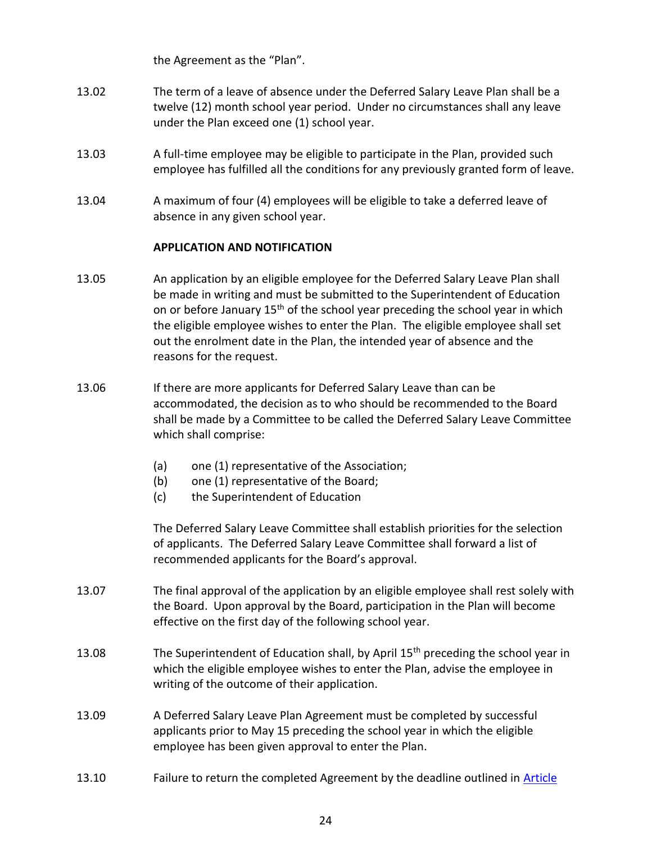the Agreement as the "Plan".

- 13.02 The term of a leave of absence under the Deferred Salary Leave Plan shall be a twelve (12) month school year period. Under no circumstances shall any leave under the Plan exceed one (1) school year.
- 13.03 A full-time employee may be eligible to participate in the Plan, provided such employee has fulfilled all the conditions for any previously granted form of leave.
- 13.04 A maximum of four (4) employees will be eligible to take a deferred leave of absence in any given school year.

#### **APPLICATION AND NOTIFICATION**

- 13.05 An application by an eligible employee for the Deferred Salary Leave Plan shall be made in writing and must be submitted to the Superintendent of Education on or before January 15<sup>th</sup> of the school year preceding the school year in which the eligible employee wishes to enter the Plan. The eligible employee shall set out the enrolment date in the Plan, the intended year of absence and the reasons for the request.
- 13.06 If there are more applicants for Deferred Salary Leave than can be accommodated, the decision as to who should be recommended to the Board shall be made by a Committee to be called the Deferred Salary Leave Committee which shall comprise:
	- (a) one (1) representative of the Association;
	- (b) one (1) representative of the Board;
	- (c) the Superintendent of Education

The Deferred Salary Leave Committee shall establish priorities for the selection of applicants. The Deferred Salary Leave Committee shall forward a list of recommended applicants for the Board's approval.

- 13.07 The final approval of the application by an eligible employee shall rest solely with the Board. Upon approval by the Board, participation in the Plan will become effective on the first day of the following school year.
- 13.08 The Superintendent of Education shall, by April 15<sup>th</sup> preceding the school year in which the eligible employee wishes to enter the Plan, advise the employee in writing of the outcome of their application.
- <span id="page-24-0"></span>13.09 A Deferred Salary Leave Plan Agreement must be completed by successful applicants prior to May 15 preceding the school year in which the eligible employee has been given approval to enter the Plan.
- 13.10 Failure to return the completed Agreement by the deadline outlined in [Article](#page-24-0)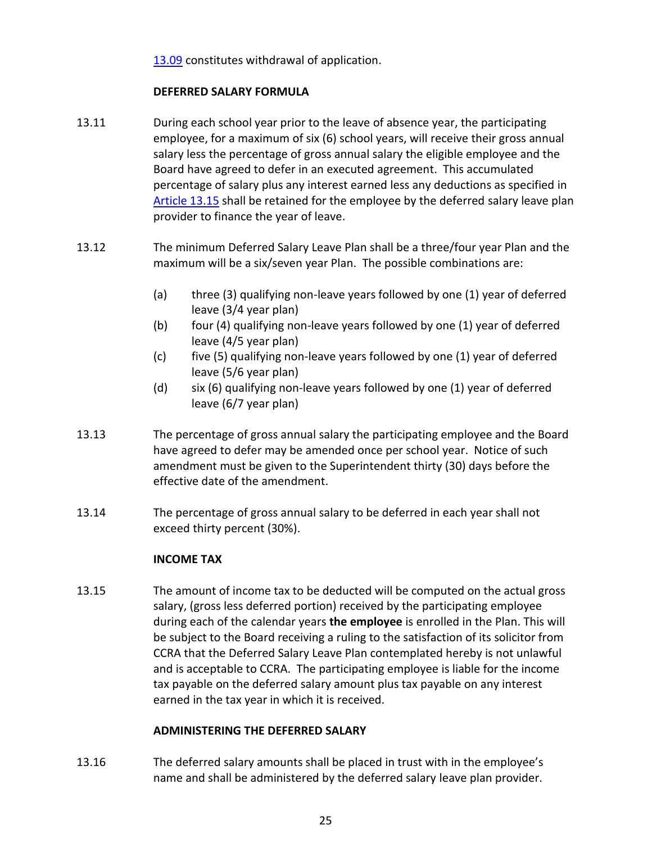[13.09](#page-24-0) constitutes withdrawal of application.

## **DEFERRED SALARY FORMULA**

- 13.11 During each school year prior to the leave of absence year, the participating employee, for a maximum of six (6) school years, will receive their gross annual salary less the percentage of gross annual salary the eligible employee and the Board have agreed to defer in an executed agreement. This accumulated percentage of salary plus any interest earned less any deductions as specified in [Article 13.15](#page-25-0) shall be retained for the employee by the deferred salary leave plan provider to finance the year of leave.
- <span id="page-25-1"></span>13.12 The minimum Deferred Salary Leave Plan shall be a three/four year Plan and the maximum will be a six/seven year Plan. The possible combinations are:
	- (a) three (3) qualifying non-leave years followed by one (1) year of deferred leave (3/4 year plan)
	- (b) four (4) qualifying non-leave years followed by one (1) year of deferred leave (4/5 year plan)
	- $(c)$  five (5) qualifying non-leave years followed by one (1) year of deferred leave (5/6 year plan)
	- (d) six (6) qualifying non-leave years followed by one (1) year of deferred leave (6/7 year plan)
- 13.13 The percentage of gross annual salary the participating employee and the Board have agreed to defer may be amended once per school year. Notice of such amendment must be given to the Superintendent thirty (30) days before the effective date of the amendment.
- 13.14 The percentage of gross annual salary to be deferred in each year shall not exceed thirty percent (30%).

## **INCOME TAX**

<span id="page-25-0"></span>13.15 The amount of income tax to be deducted will be computed on the actual gross salary, (gross less deferred portion) received by the participating employee during each of the calendar years **the employee** is enrolled in the Plan. This will be subject to the Board receiving a ruling to the satisfaction of its solicitor from CCRA that the Deferred Salary Leave Plan contemplated hereby is not unlawful and is acceptable to CCRA. The participating employee is liable for the income tax payable on the deferred salary amount plus tax payable on any interest earned in the tax year in which it is received.

## **ADMINISTERING THE DEFERRED SALARY**

13.16 The deferred salary amounts shall be placed in trust with in the employee's name and shall be administered by the deferred salary leave plan provider.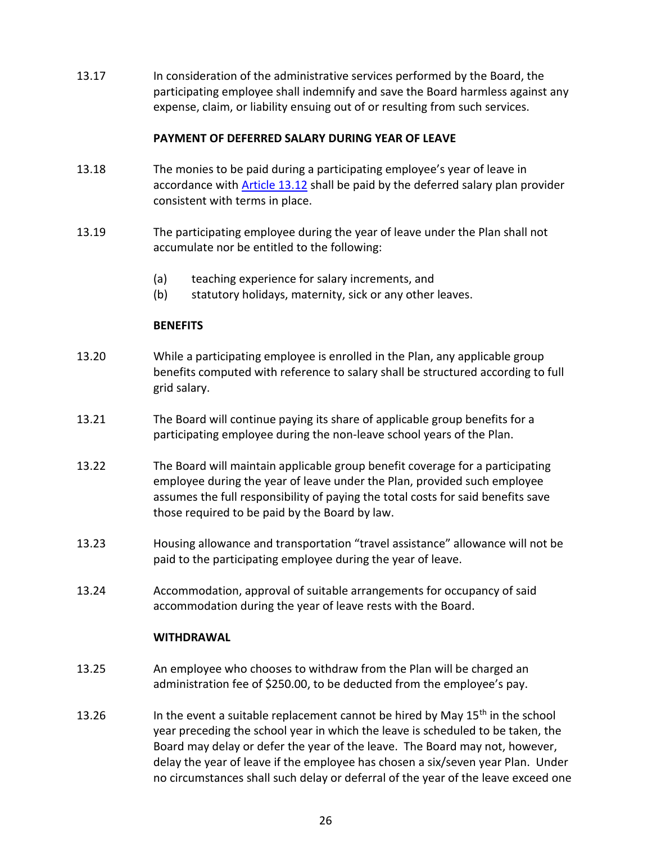13.17 In consideration of the administrative services performed by the Board, the participating employee shall indemnify and save the Board harmless against any expense, claim, or liability ensuing out of or resulting from such services.

## **PAYMENT OF DEFERRED SALARY DURING YEAR OF LEAVE**

- 13.18 The monies to be paid during a participating employee's year of leave in accordance with [Article 13.12](#page-25-1) shall be paid by the deferred salary plan provider consistent with terms in place.
- 13.19 The participating employee during the year of leave under the Plan shall not accumulate nor be entitled to the following:
	- (a) teaching experience for salary increments, and
	- (b) statutory holidays, maternity, sick or any other leaves.

## **BENEFITS**

- 13.20 While a participating employee is enrolled in the Plan, any applicable group benefits computed with reference to salary shall be structured according to full grid salary.
- 13.21 The Board will continue paying its share of applicable group benefits for a participating employee during the non-leave school years of the Plan.
- 13.22 The Board will maintain applicable group benefit coverage for a participating employee during the year of leave under the Plan, provided such employee assumes the full responsibility of paying the total costs for said benefits save those required to be paid by the Board by law.
- 13.23 Housing allowance and transportation "travel assistance" allowance will not be paid to the participating employee during the year of leave.
- 13.24 Accommodation, approval of suitable arrangements for occupancy of said accommodation during the year of leave rests with the Board.

## **WITHDRAWAL**

- 13.25 An employee who chooses to withdraw from the Plan will be charged an administration fee of \$250.00, to be deducted from the employee's pay.
- <span id="page-26-0"></span>13.26 In the event a suitable replacement cannot be hired by May  $15<sup>th</sup>$  in the school year preceding the school year in which the leave is scheduled to be taken, the Board may delay or defer the year of the leave. The Board may not, however, delay the year of leave if the employee has chosen a six/seven year Plan. Under no circumstances shall such delay or deferral of the year of the leave exceed one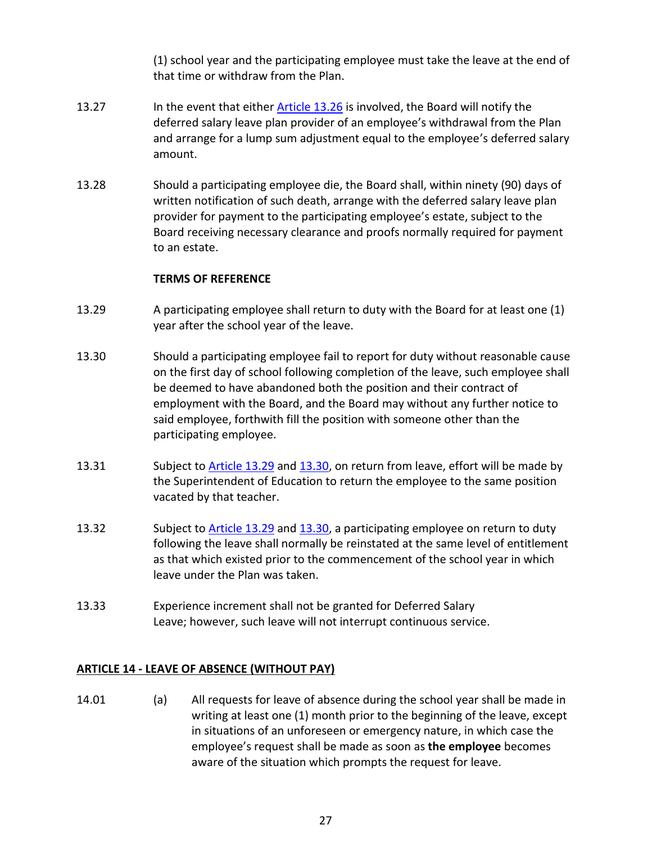(1) school year and the participating employee must take the leave at the end of that time or withdraw from the Plan.

- 13.27 In the event that either [Article 13.26](#page-26-0) is involved, the Board will notify the deferred salary leave plan provider of an employee's withdrawal from the Plan and arrange for a lump sum adjustment equal to the employee's deferred salary amount.
- 13.28 Should a participating employee die, the Board shall, within ninety (90) days of written notification of such death, arrange with the deferred salary leave plan provider for payment to the participating employee's estate, subject to the Board receiving necessary clearance and proofs normally required for payment to an estate.

## **TERMS OF REFERENCE**

- <span id="page-27-0"></span>13.29 A participating employee shall return to duty with the Board for at least one (1) year after the school year of the leave.
- <span id="page-27-1"></span>13.30 Should a participating employee fail to report for duty without reasonable cause on the first day of school following completion of the leave, such employee shall be deemed to have abandoned both the position and their contract of employment with the Board, and the Board may without any further notice to said employee, forthwith fill the position with someone other than the participating employee.
- 13.31 Subject to [Article 13.29](#page-27-0) and [13.30,](#page-27-1) on return from leave, effort will be made by the Superintendent of Education to return the employee to the same position vacated by that teacher.
- 13.32 Subject to [Article 13.29](#page-27-0) and [13.30,](#page-27-1) a participating employee on return to duty following the leave shall normally be reinstated at the same level of entitlement as that which existed prior to the commencement of the school year in which leave under the Plan was taken.
- 13.33 Experience increment shall not be granted for Deferred Salary Leave; however, such leave will not interrupt continuous service.

## **ARTICLE 14 - LEAVE OF ABSENCE (WITHOUT PAY)**

14.01 (a) All requests for leave of absence during the school year shall be made in writing at least one (1) month prior to the beginning of the leave, except in situations of an unforeseen or emergency nature, in which case the employee's request shall be made as soon as **the employee** becomes aware of the situation which prompts the request for leave.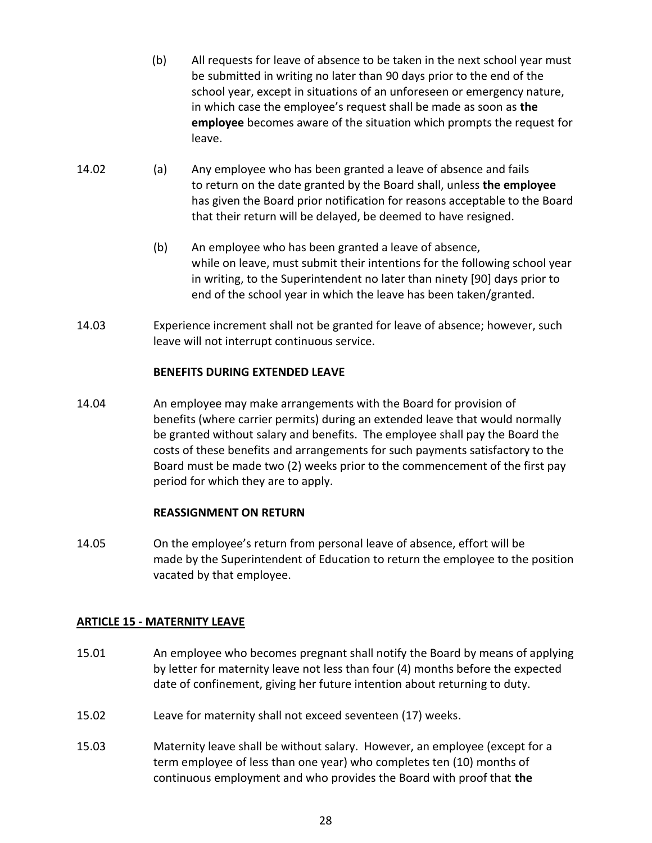- (b) All requests for leave of absence to be taken in the next school year must be submitted in writing no later than 90 days prior to the end of the school year, except in situations of an unforeseen or emergency nature, in which case the employee's request shall be made as soon as **the employee** becomes aware of the situation which prompts the request for leave.
- 14.02 (a) Any employee who has been granted a leave of absence and fails to return on the date granted by the Board shall, unless **the employee** has given the Board prior notification for reasons acceptable to the Board that their return will be delayed, be deemed to have resigned.
	- (b) An employee who has been granted a leave of absence, while on leave, must submit their intentions for the following school year in writing, to the Superintendent no later than ninety [90] days prior to end of the school year in which the leave has been taken/granted.
- 14.03 Experience increment shall not be granted for leave of absence; however, such leave will not interrupt continuous service.

## **BENEFITS DURING EXTENDED LEAVE**

14.04 An employee may make arrangements with the Board for provision of benefits (where carrier permits) during an extended leave that would normally be granted without salary and benefits. The employee shall pay the Board the costs of these benefits and arrangements for such payments satisfactory to the Board must be made two (2) weeks prior to the commencement of the first pay period for which they are to apply.

## **REASSIGNMENT ON RETURN**

14.05 On the employee's return from personal leave of absence, effort will be made by the Superintendent of Education to return the employee to the position vacated by that employee.

## <span id="page-28-0"></span>**ARTICLE 15 - MATERNITY LEAVE**

- 15.01 An employee who becomes pregnant shall notify the Board by means of applying by letter for maternity leave not less than four (4) months before the expected date of confinement, giving her future intention about returning to duty.
- 15.02 Leave for maternity shall not exceed seventeen (17) weeks.
- 15.03 Maternity leave shall be without salary. However, an employee (except for a term employee of less than one year) who completes ten (10) months of continuous employment and who provides the Board with proof that **the**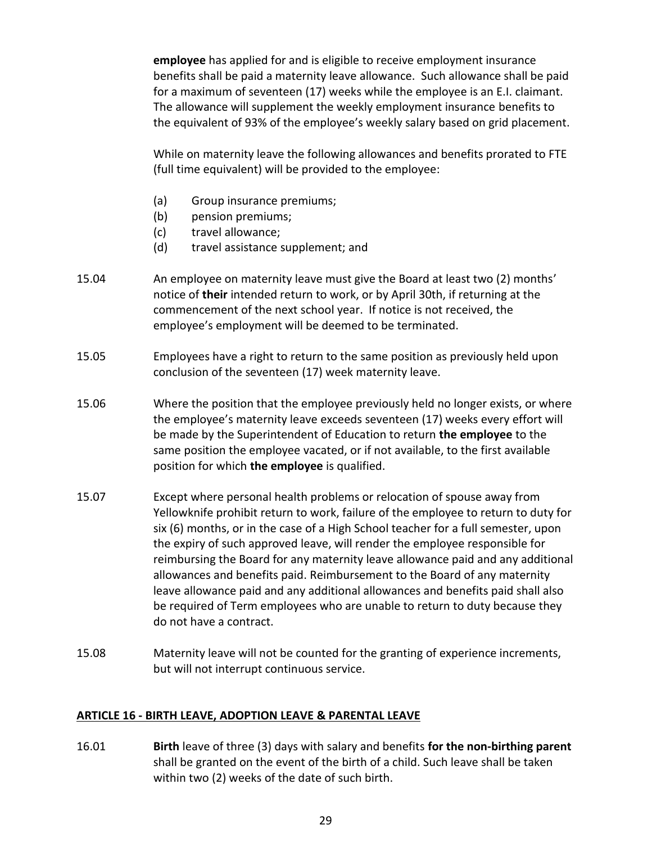**employee** has applied for and is eligible to receive employment insurance benefits shall be paid a maternity leave allowance. Such allowance shall be paid for a maximum of seventeen (17) weeks while the employee is an E.I. claimant. The allowance will supplement the weekly employment insurance benefits to the equivalent of 93% of the employee's weekly salary based on grid placement.

While on maternity leave the following allowances and benefits prorated to FTE (full time equivalent) will be provided to the employee:

- (a) Group insurance premiums;
- (b) pension premiums;
- (c) travel allowance;
- (d) travel assistance supplement; and
- 15.04 An employee on maternity leave must give the Board at least two (2) months' notice of **their** intended return to work, or by April 30th, if returning at the commencement of the next school year. If notice is not received, the employee's employment will be deemed to be terminated.
- 15.05 Employees have a right to return to the same position as previously held upon conclusion of the seventeen (17) week maternity leave.
- 15.06 Where the position that the employee previously held no longer exists, or where the employee's maternity leave exceeds seventeen (17) weeks every effort will be made by the Superintendent of Education to return **the employee** to the same position the employee vacated, or if not available, to the first available position for which **the employee** is qualified.
- 15.07 Except where personal health problems or relocation of spouse away from Yellowknife prohibit return to work, failure of the employee to return to duty for six (6) months, or in the case of a High School teacher for a full semester, upon the expiry of such approved leave, will render the employee responsible for reimbursing the Board for any maternity leave allowance paid and any additional allowances and benefits paid. Reimbursement to the Board of any maternity leave allowance paid and any additional allowances and benefits paid shall also be required of Term employees who are unable to return to duty because they do not have a contract.
- 15.08 Maternity leave will not be counted for the granting of experience increments, but will not interrupt continuous service.

#### <span id="page-29-0"></span>**ARTICLE 16 - BIRTH LEAVE, ADOPTION LEAVE & PARENTAL LEAVE**

16.01 **Birth** leave of three (3) days with salary and benefits **for the non-birthing parent** shall be granted on the event of the birth of a child. Such leave shall be taken within two (2) weeks of the date of such birth.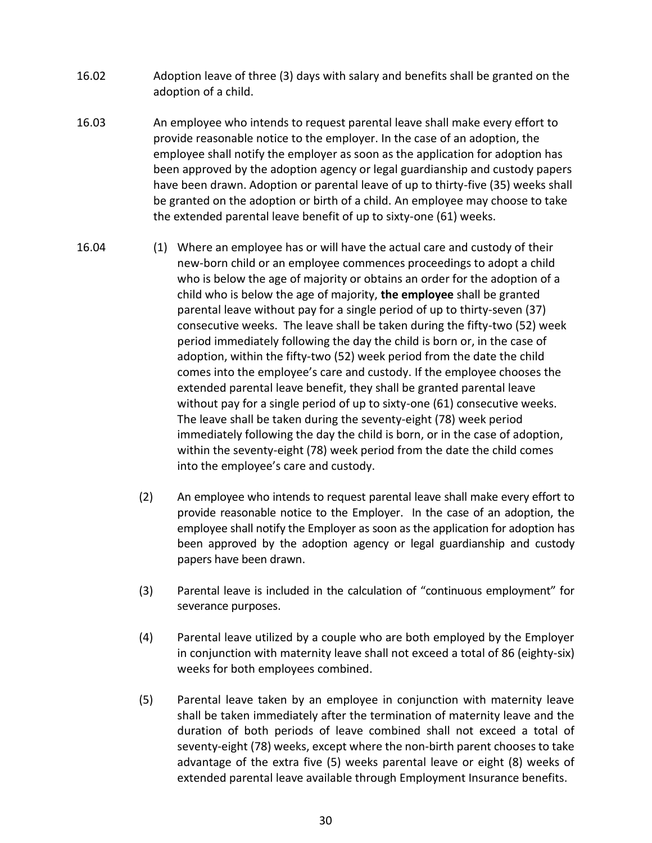- 16.02 Adoption leave of three (3) days with salary and benefits shall be granted on the adoption of a child.
- 16.03 An employee who intends to request parental leave shall make every effort to provide reasonable notice to the employer. In the case of an adoption, the employee shall notify the employer as soon as the application for adoption has been approved by the adoption agency or legal guardianship and custody papers have been drawn. Adoption or parental leave of up to thirty-five (35) weeks shall be granted on the adoption or birth of a child. An employee may choose to take the extended parental leave benefit of up to sixty-one (61) weeks.
- 16.04 (1) Where an employee has or will have the actual care and custody of their new-born child or an employee commences proceedings to adopt a child who is below the age of majority or obtains an order for the adoption of a child who is below the age of majority, **the employee** shall be granted parental leave without pay for a single period of up to thirty-seven (37) consecutive weeks. The leave shall be taken during the fifty-two (52) week period immediately following the day the child is born or, in the case of adoption, within the fifty-two (52) week period from the date the child comes into the employee's care and custody. If the employee chooses the extended parental leave benefit, they shall be granted parental leave without pay for a single period of up to sixty-one (61) consecutive weeks. The leave shall be taken during the seventy-eight (78) week period immediately following the day the child is born, or in the case of adoption, within the seventy-eight (78) week period from the date the child comes into the employee's care and custody.
	- (2) An employee who intends to request parental leave shall make every effort to provide reasonable notice to the Employer. In the case of an adoption, the employee shall notify the Employer as soon as the application for adoption has been approved by the adoption agency or legal guardianship and custody papers have been drawn.
	- (3) Parental leave is included in the calculation of "continuous employment" for severance purposes.
	- (4) Parental leave utilized by a couple who are both employed by the Employer in conjunction with maternity leave shall not exceed a total of 86 (eighty-six) weeks for both employees combined.
	- (5) Parental leave taken by an employee in conjunction with maternity leave shall be taken immediately after the termination of maternity leave and the duration of both periods of leave combined shall not exceed a total of seventy-eight (78) weeks, except where the non-birth parent chooses to take advantage of the extra five (5) weeks parental leave or eight (8) weeks of extended parental leave available through Employment Insurance benefits.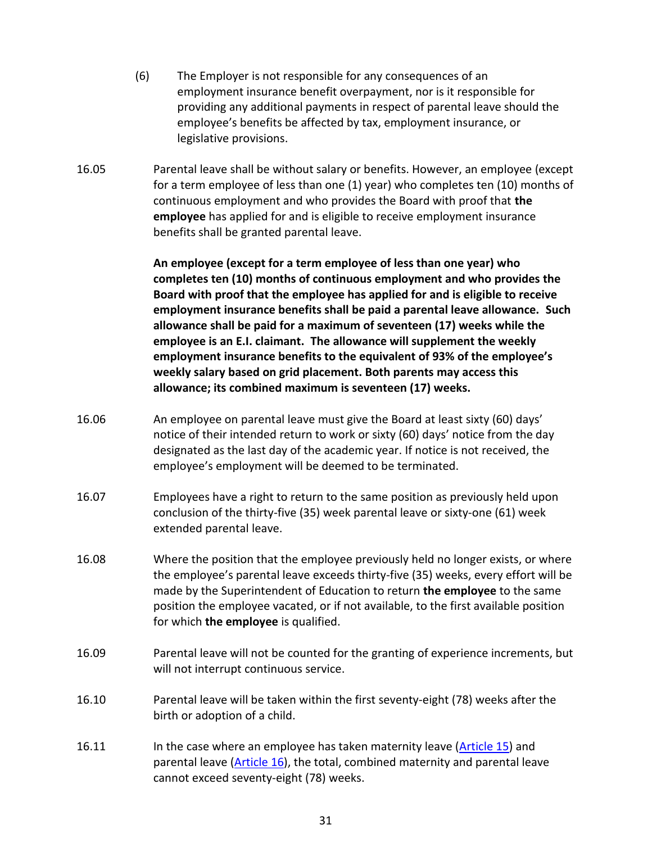- (6) The Employer is not responsible for any consequences of an employment insurance benefit overpayment, nor is it responsible for providing any additional payments in respect of parental leave should the employee's benefits be affected by tax, employment insurance, or legislative provisions.
- 16.05 Parental leave shall be without salary or benefits. However, an employee (except for a term employee of less than one (1) year) who completes ten (10) months of continuous employment and who provides the Board with proof that **the employee** has applied for and is eligible to receive employment insurance benefits shall be granted parental leave.

**An employee (except for a term employee of less than one year) who completes ten (10) months of continuous employment and who provides the Board with proof that the employee has applied for and is eligible to receive employment insurance benefits shall be paid a parental leave allowance. Such allowance shall be paid for a maximum of seventeen (17) weeks while the employee is an E.I. claimant. The allowance will supplement the weekly employment insurance benefits to the equivalent of 93% of the employee's weekly salary based on grid placement. Both parents may access this allowance; its combined maximum is seventeen (17) weeks.**

- 16.06 An employee on parental leave must give the Board at least sixty (60) days' notice of their intended return to work or sixty (60) days' notice from the day designated as the last day of the academic year. If notice is not received, the employee's employment will be deemed to be terminated.
- 16.07 Employees have a right to return to the same position as previously held upon conclusion of the thirty-five (35) week parental leave or sixty-one (61) week extended parental leave.
- 16.08 Where the position that the employee previously held no longer exists, or where the employee's parental leave exceeds thirty-five (35) weeks, every effort will be made by the Superintendent of Education to return **the employee** to the same position the employee vacated, or if not available, to the first available position for which **the employee** is qualified.
- 16.09 Parental leave will not be counted for the granting of experience increments, but will not interrupt continuous service.
- 16.10 Parental leave will be taken within the first seventy-eight (78) weeks after the birth or adoption of a child.
- 16.11 In the case where an employee has taken maternity leave [\(Article 15\)](#page-28-0) and parental leave [\(Article 16\)](#page-29-0), the total, combined maternity and parental leave cannot exceed seventy-eight (78) weeks.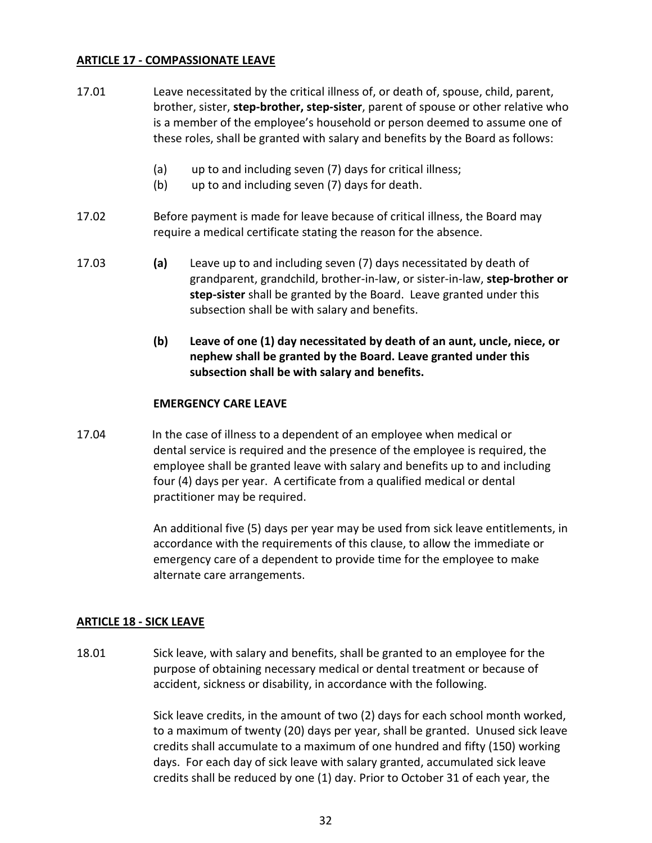## **ARTICLE 17 - COMPASSIONATE LEAVE**

- 17.01 Leave necessitated by the critical illness of, or death of, spouse, child, parent, brother, sister, **step-brother, step-sister**, parent of spouse or other relative who is a member of the employee's household or person deemed to assume one of these roles, shall be granted with salary and benefits by the Board as follows:
	- (a) up to and including seven (7) days for critical illness;
	- (b) up to and including seven (7) days for death.
- 17.02 Before payment is made for leave because of critical illness, the Board may require a medical certificate stating the reason for the absence.
- 17.03 **(a)** Leave up to and including seven (7) days necessitated by death of grandparent, grandchild, brother-in-law, or sister-in-law, **step-brother or step-sister** shall be granted by the Board. Leave granted under this subsection shall be with salary and benefits.
	- **(b) Leave of one (1) day necessitated by death of an aunt, uncle, niece, or nephew shall be granted by the Board. Leave granted under this subsection shall be with salary and benefits.**

#### **EMERGENCY CARE LEAVE**

17.04 In the case of illness to a dependent of an employee when medical or dental service is required and the presence of the employee is required, the employee shall be granted leave with salary and benefits up to and including four (4) days per year. A certificate from a qualified medical or dental practitioner may be required.

> An additional five (5) days per year may be used from sick leave entitlements, in accordance with the requirements of this clause, to allow the immediate or emergency care of a dependent to provide time for the employee to make alternate care arrangements.

## <span id="page-32-0"></span>**ARTICLE 18 - SICK LEAVE**

18.01 Sick leave, with salary and benefits, shall be granted to an employee for the purpose of obtaining necessary medical or dental treatment or because of accident, sickness or disability, in accordance with the following.

> Sick leave credits, in the amount of two (2) days for each school month worked, to a maximum of twenty (20) days per year, shall be granted. Unused sick leave credits shall accumulate to a maximum of one hundred and fifty (150) working days. For each day of sick leave with salary granted, accumulated sick leave credits shall be reduced by one (1) day. Prior to October 31 of each year, the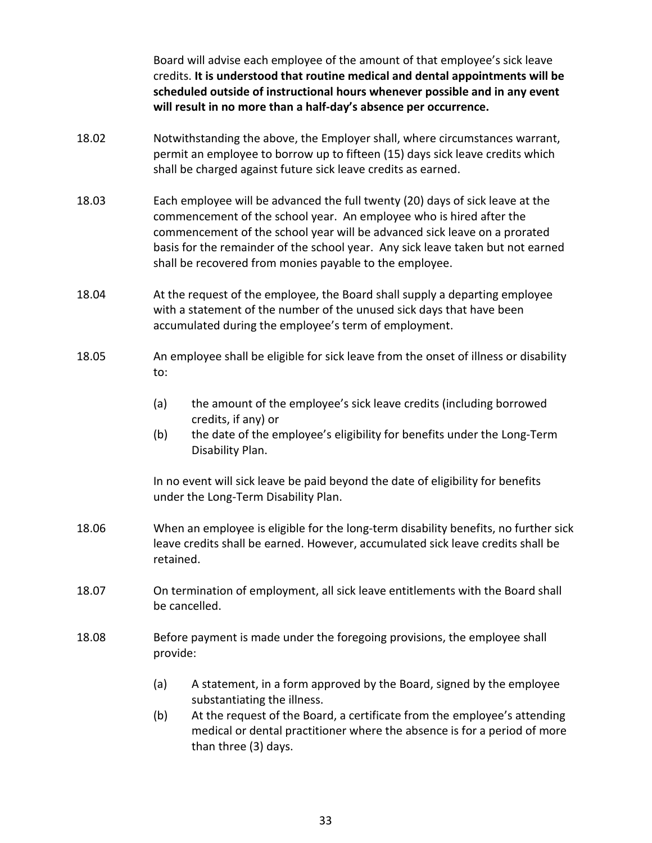Board will advise each employee of the amount of that employee's sick leave credits. **It is understood that routine medical and dental appointments will be scheduled outside of instructional hours whenever possible and in any event will result in no more than a half-day's absence per occurrence.**

- 18.02 Notwithstanding the above, the Employer shall, where circumstances warrant, permit an employee to borrow up to fifteen (15) days sick leave credits which shall be charged against future sick leave credits as earned.
- 18.03 Each employee will be advanced the full twenty (20) days of sick leave at the commencement of the school year. An employee who is hired after the commencement of the school year will be advanced sick leave on a prorated basis for the remainder of the school year. Any sick leave taken but not earned shall be recovered from monies payable to the employee.
- 18.04 At the request of the employee, the Board shall supply a departing employee with a statement of the number of the unused sick days that have been accumulated during the employee's term of employment.
- 18.05 An employee shall be eligible for sick leave from the onset of illness or disability to:
	- (a) the amount of the employee's sick leave credits (including borrowed credits, if any) or
	- (b) the date of the employee's eligibility for benefits under the Long-Term Disability Plan.

In no event will sick leave be paid beyond the date of eligibility for benefits under the Long-Term Disability Plan.

- 18.06 When an employee is eligible for the long-term disability benefits, no further sick leave credits shall be earned. However, accumulated sick leave credits shall be retained.
- 18.07 On termination of employment, all sick leave entitlements with the Board shall be cancelled.
- 18.08 Before payment is made under the foregoing provisions, the employee shall provide:
	- (a) A statement, in a form approved by the Board, signed by the employee substantiating the illness.
	- (b) At the request of the Board, a certificate from the employee's attending medical or dental practitioner where the absence is for a period of more than three (3) days.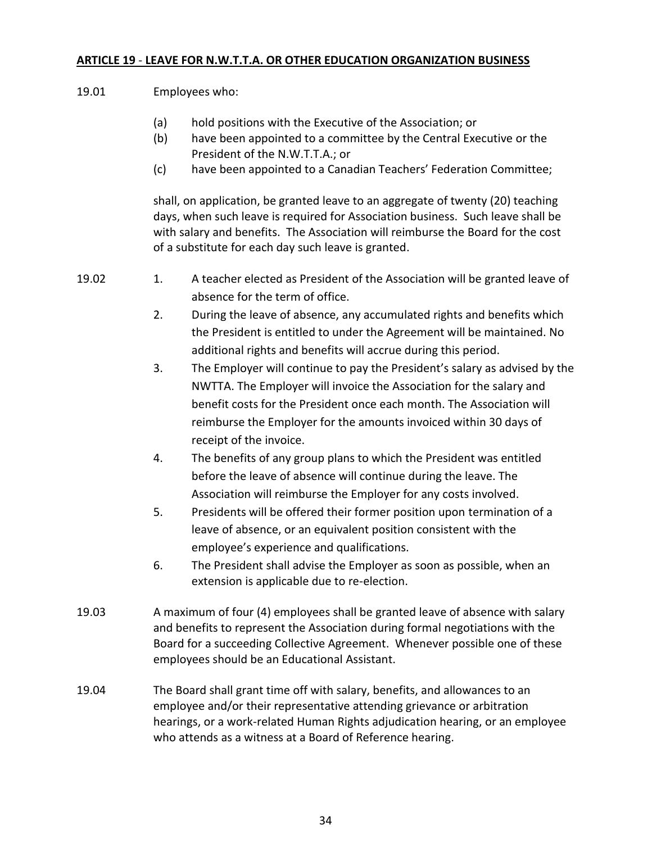# **ARTICLE 19** - **LEAVE FOR N.W.T.T.A. OR OTHER EDUCATION ORGANIZATION BUSINESS**

| 19.01 | Employees who:                                                                                                                                                                                                                                                                                                                   |  |
|-------|----------------------------------------------------------------------------------------------------------------------------------------------------------------------------------------------------------------------------------------------------------------------------------------------------------------------------------|--|
|       | (a)<br>hold positions with the Executive of the Association; or<br>(b)<br>have been appointed to a committee by the Central Executive or the<br>President of the N.W.T.T.A.; or                                                                                                                                                  |  |
|       | have been appointed to a Canadian Teachers' Federation Committee;<br>(c)                                                                                                                                                                                                                                                         |  |
|       | shall, on application, be granted leave to an aggregate of twenty (20) teaching<br>days, when such leave is required for Association business. Such leave shall be<br>with salary and benefits. The Association will reimburse the Board for the cost<br>of a substitute for each day such leave is granted.                     |  |
| 19.02 | A teacher elected as President of the Association will be granted leave of<br>1.<br>absence for the term of office.                                                                                                                                                                                                              |  |
|       | 2.<br>During the leave of absence, any accumulated rights and benefits which<br>the President is entitled to under the Agreement will be maintained. No<br>additional rights and benefits will accrue during this period.                                                                                                        |  |
|       | 3.<br>The Employer will continue to pay the President's salary as advised by the<br>NWTTA. The Employer will invoice the Association for the salary and<br>benefit costs for the President once each month. The Association will<br>reimburse the Employer for the amounts invoiced within 30 days of<br>receipt of the invoice. |  |
|       | The benefits of any group plans to which the President was entitled<br>4.<br>before the leave of absence will continue during the leave. The<br>Association will reimburse the Employer for any costs involved.                                                                                                                  |  |
|       | 5.<br>Presidents will be offered their former position upon termination of a<br>leave of absence, or an equivalent position consistent with the<br>employee's experience and qualifications.                                                                                                                                     |  |
|       | The President shall advise the Employer as soon as possible, when an<br>6.<br>extension is applicable due to re-election.                                                                                                                                                                                                        |  |
| 19.03 | A maximum of four (4) employees shall be granted leave of absence with salary<br>and benefits to represent the Association during formal negotiations with the<br>Board for a succeeding Collective Agreement. Whenever possible one of these<br>employees should be an Educational Assistant.                                   |  |
| 19.04 | The Board shall grant time off with salary, benefits, and allowances to an<br>employee and/or their representative attending grievance or arbitration<br>hearings, or a work-related Human Rights adjudication hearing, or an employee<br>who attends as a witness at a Board of Reference hearing.                              |  |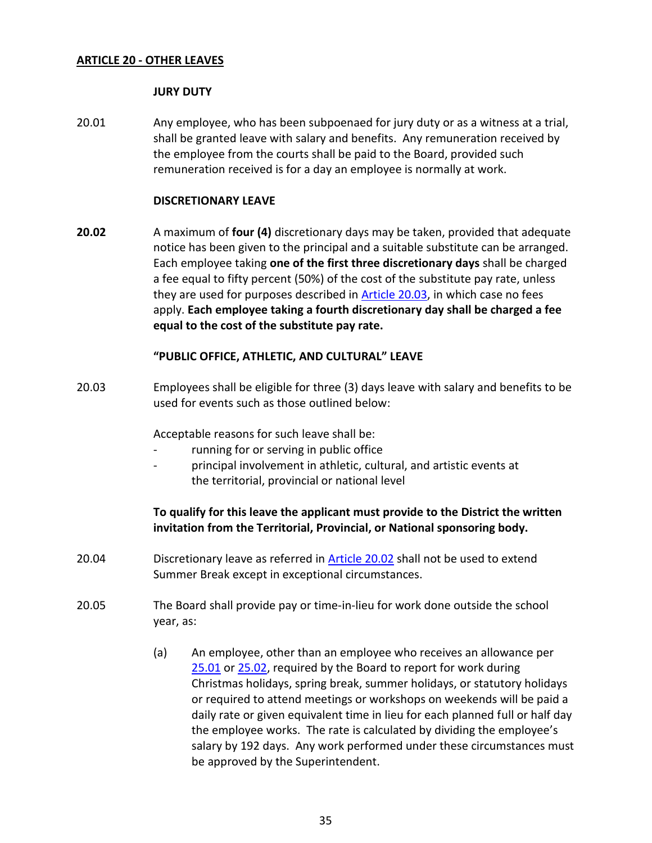#### **ARTICLE 20 - OTHER LEAVES**

#### **JURY DUTY**

20.01 Any employee, who has been subpoenaed for jury duty or as a witness at a trial, shall be granted leave with salary and benefits. Any remuneration received by the employee from the courts shall be paid to the Board, provided such remuneration received is for a day an employee is normally at work.

## <span id="page-35-1"></span>**DISCRETIONARY LEAVE**

**20.02** A maximum of **four (4)** discretionary days may be taken, provided that adequate notice has been given to the principal and a suitable substitute can be arranged. Each employee taking **one of the first three discretionary days** shall be charged a fee equal to fifty percent (50%) of the cost of the substitute pay rate, unless they are used for purposes described in [Article](#page-35-0) 20.03, in which case no fees apply. **Each employee taking a fourth discretionary day shall be charged a fee equal to the cost of the substitute pay rate.**

#### **"PUBLIC OFFICE, ATHLETIC, AND CULTURAL" LEAVE**

<span id="page-35-0"></span>20.03 Employees shall be eligible for three (3) days leave with salary and benefits to be used for events such as those outlined below:

Acceptable reasons for such leave shall be:

- running for or serving in public office
- principal involvement in athletic, cultural, and artistic events at the territorial, provincial or national level

## **To qualify for this leave the applicant must provide to the District the written invitation from the Territorial, Provincial, or National sponsoring body.**

- 20.04 Discretionary leave as referred in **Article 20.02** shall not be used to extend Summer Break except in exceptional circumstances.
- 20.05 The Board shall provide pay or time-in-lieu for work done outside the school year, as:
	- (a) An employee, other than an employee who receives an allowance per [25.01](#page-40-0) or [25.02,](#page-41-0) required by the Board to report for work during Christmas holidays, spring break, summer holidays, or statutory holidays or required to attend meetings or workshops on weekends will be paid a daily rate or given equivalent time in lieu for each planned full or half day the employee works. The rate is calculated by dividing the employee's salary by 192 days. Any work performed under these circumstances must be approved by the Superintendent.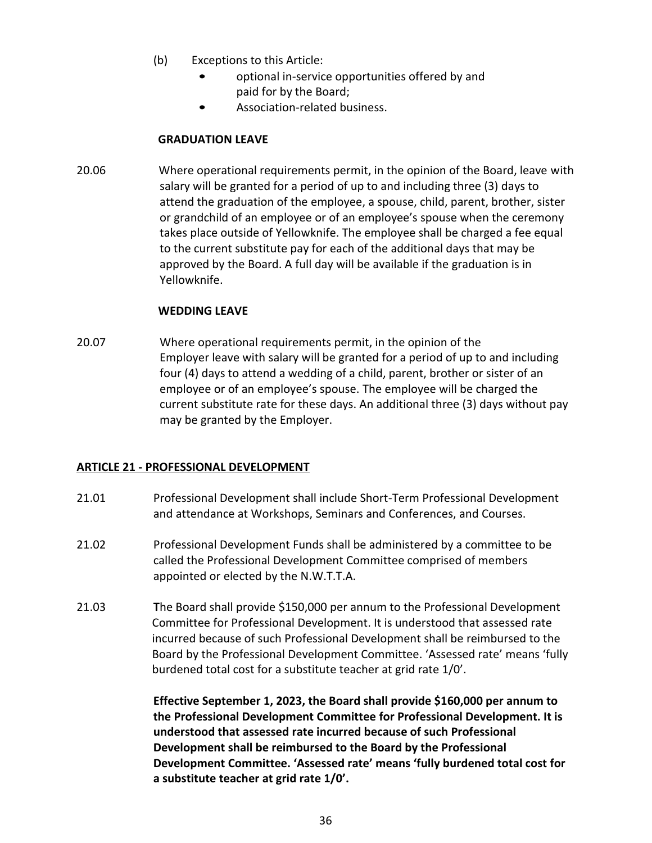- (b) Exceptions to this Article:
	- optional in-service opportunities offered by and paid for by the Board;
	- Association-related business.

## **GRADUATION LEAVE**

20.06 Where operational requirements permit, in the opinion of the Board, leave with salary will be granted for a period of up to and including three (3) days to attend the graduation of the employee, a spouse, child, parent, brother, sister or grandchild of an employee or of an employee's spouse when the ceremony takes place outside of Yellowknife. The employee shall be charged a fee equal to the current substitute pay for each of the additional days that may be approved by the Board. A full day will be available if the graduation is in Yellowknife.

## **WEDDING LEAVE**

20.07 Where operational requirements permit, in the opinion of the Employer leave with salary will be granted for a period of up to and including four (4) days to attend a wedding of a child, parent, brother or sister of an employee or of an employee's spouse. The employee will be charged the current substitute rate for these days. An additional three (3) days without pay may be granted by the Employer.

## **ARTICLE 21 - PROFESSIONAL DEVELOPMENT**

- 21.01 Professional Development shall include Short-Term Professional Development and attendance at Workshops, Seminars and Conferences, and Courses.
- 21.02 Professional Development Funds shall be administered by a committee to be called the Professional Development Committee comprised of members appointed or elected by the N.W.T.T.A.
- 21.03 **T**he Board shall provide \$150,000 per annum to the Professional Development Committee for Professional Development. It is understood that assessed rate incurred because of such Professional Development shall be reimbursed to the Board by the Professional Development Committee. 'Assessed rate' means 'fully burdened total cost for a substitute teacher at grid rate 1/0'.

**Effective September 1, 2023, the Board shall provide \$160,000 per annum to the Professional Development Committee for Professional Development. It is understood that assessed rate incurred because of such Professional Development shall be reimbursed to the Board by the Professional Development Committee. 'Assessed rate' means 'fully burdened total cost for a substitute teacher at grid rate 1/0'.**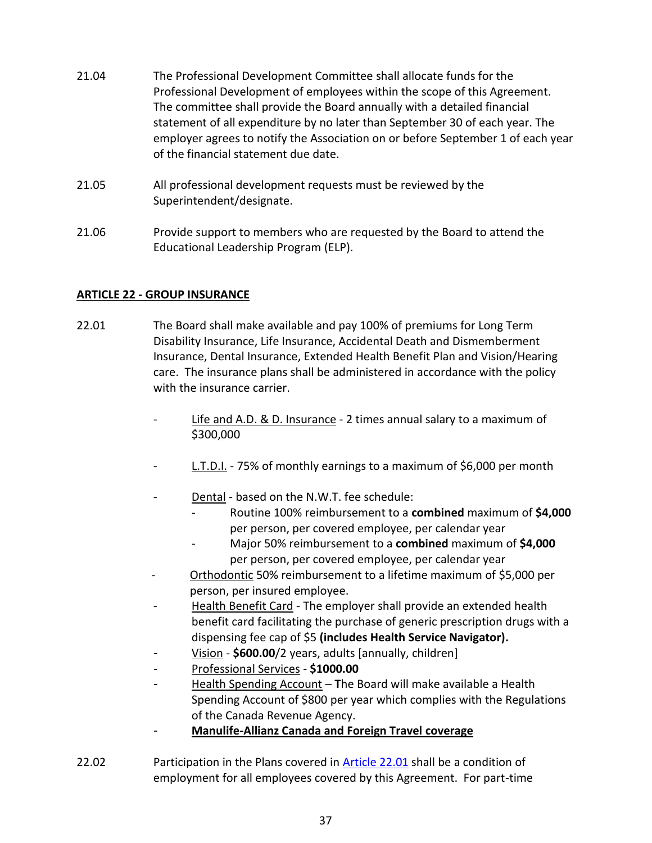- 21.04 The Professional Development Committee shall allocate funds for the Professional Development of employees within the scope of this Agreement. The committee shall provide the Board annually with a detailed financial statement of all expenditure by no later than September 30 of each year. The employer agrees to notify the Association on or before September 1 of each year of the financial statement due date.
- 21.05 All professional development requests must be reviewed by the Superintendent/designate.
- 21.06 Provide support to members who are requested by the Board to attend the Educational Leadership Program (ELP).

## <span id="page-37-0"></span>**ARTICLE 22 - GROUP INSURANCE**

- <span id="page-37-2"></span>22.01 The Board shall make available and pay 100% of premiums for Long Term Disability Insurance, Life Insurance, Accidental Death and Dismemberment Insurance, Dental Insurance, Extended Health Benefit Plan and Vision/Hearing care. The insurance plans shall be administered in accordance with the policy with the insurance carrier.
	- Life and A.D. & D. Insurance 2 times annual salary to a maximum of \$300,000
	- L.T.D.I. 75% of monthly earnings to a maximum of \$6,000 per month
	- Dental based on the N.W.T. fee schedule:
		- Routine 100% reimbursement to a **combined** maximum of **\$4,000** per person, per covered employee, per calendar year
		- Major 50% reimbursement to a **combined** maximum of **\$4,000** per person, per covered employee, per calendar year
	- Orthodontic 50% reimbursement to a lifetime maximum of \$5,000 per person, per insured employee.
	- Health Benefit Card The employer shall provide an extended health benefit card facilitating the purchase of generic prescription drugs with a dispensing fee cap of \$5 **(includes Health Service Navigator).**
	- *-* Vision **\$600.00**/2 years, adults [annually, children]
	- *-* Professional Services **\$1000.00**
	- *-* Health Spending Account **T**he Board will make available a Health Spending Account of \$800 per year which complies with the Regulations of the Canada Revenue Agency.
	- *-* **Manulife-Allianz Canada and Foreign Travel coverage**
- <span id="page-37-1"></span>22.02 Participation in the Plans covered in [Article 22.01](#page-37-2) shall be a condition of employment for all employees covered by this Agreement. For part-time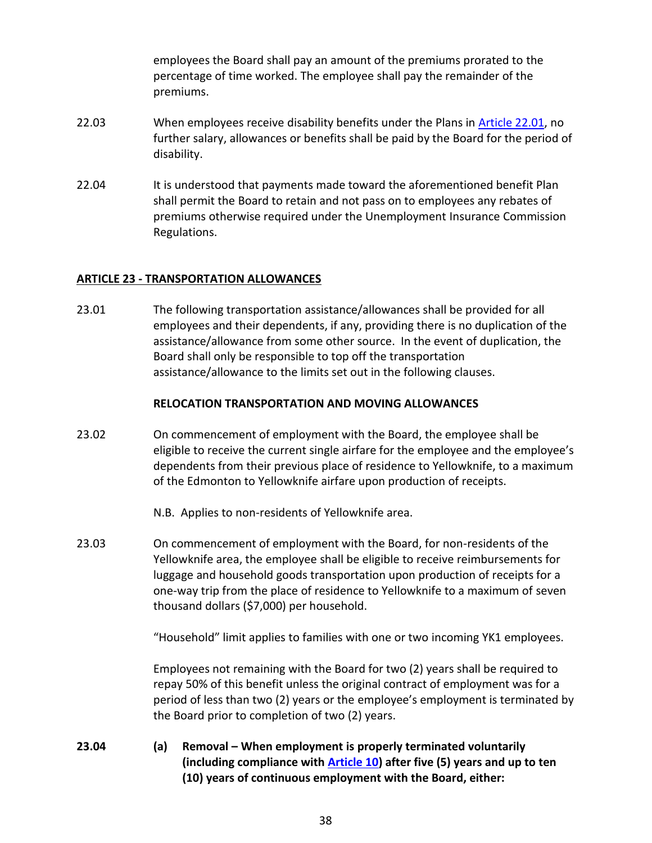employees the Board shall pay an amount of the premiums prorated to the percentage of time worked. The employee shall pay the remainder of the premiums.

- 22.03 When employees receive disability benefits under the Plans in [Article 22.01,](#page-37-2) no further salary, allowances or benefits shall be paid by the Board for the period of disability.
- 22.04 It is understood that payments made toward the aforementioned benefit Plan shall permit the Board to retain and not pass on to employees any rebates of premiums otherwise required under the Unemployment Insurance Commission Regulations.

## **ARTICLE 23 - TRANSPORTATION ALLOWANCES**

23.01 The following transportation assistance/allowances shall be provided for all employees and their dependents, if any, providing there is no duplication of the assistance/allowance from some other source. In the event of duplication, the Board shall only be responsible to top off the transportation assistance/allowance to the limits set out in the following clauses.

## **RELOCATION TRANSPORTATION AND MOVING ALLOWANCES**

23.02 On commencement of employment with the Board, the employee shall be eligible to receive the current single airfare for the employee and the employee's dependents from their previous place of residence to Yellowknife, to a maximum of the Edmonton to Yellowknife airfare upon production of receipts.

N.B. Applies to non-residents of Yellowknife area.

23.03 On commencement of employment with the Board, for non-residents of the Yellowknife area, the employee shall be eligible to receive reimbursements for luggage and household goods transportation upon production of receipts for a one-way trip from the place of residence to Yellowknife to a maximum of seven thousand dollars (\$7,000) per household.

"Household" limit applies to families with one or two incoming YK1 employees.

Employees not remaining with the Board for two (2) years shall be required to repay 50% of this benefit unless the original contract of employment was for a period of less than two (2) years or the employee's employment is terminated by the Board prior to completion of two (2) years.

**23.04 (a) Removal – When employment is properly terminated voluntarily (including compliance with [Article 10\)](#page-19-1) after five (5) years and up to ten (10) years of continuous employment with the Board, either:**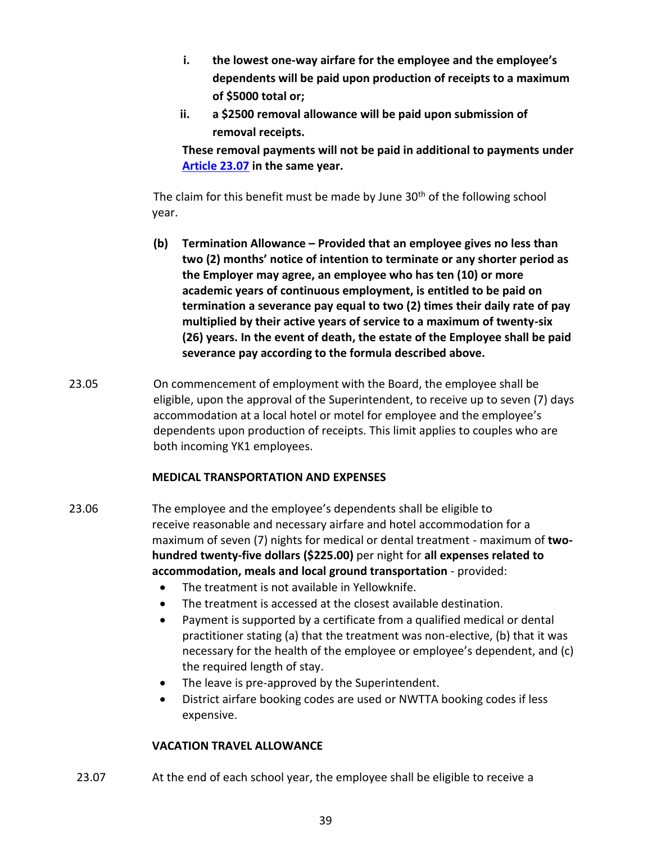- **i. the lowest one-way airfare for the employee and the employee's dependents will be paid upon production of receipts to a maximum of \$5000 total or;**
- **ii. a \$2500 removal allowance will be paid upon submission of removal receipts.**

**These removal payments will not be paid in additional to payments under [Article 23.07](#page-39-0) in the same year.** 

The claim for this benefit must be made by June  $30<sup>th</sup>$  of the following school year.

- **(b) Termination Allowance – Provided that an employee gives no less than two (2) months' notice of intention to terminate or any shorter period as the Employer may agree, an employee who has ten (10) or more academic years of continuous employment, is entitled to be paid on termination a severance pay equal to two (2) times their daily rate of pay multiplied by their active years of service to a maximum of twenty-six (26) years. In the event of death, the estate of the Employee shall be paid severance pay according to the formula described above.**
- 23.05 On commencement of employment with the Board, the employee shall be eligible, upon the approval of the Superintendent, to receive up to seven (7) days accommodation at a local hotel or motel for employee and the employee's dependents upon production of receipts. This limit applies to couples who are both incoming YK1 employees.

## **MEDICAL TRANSPORTATION AND EXPENSES**

- 23.06 The employee and the employee's dependents shall be eligible to receive reasonable and necessary airfare and hotel accommodation for a maximum of seven (7) nights for medical or dental treatment - maximum of **twohundred twenty-five dollars (\$225.00)** per night for **all expenses related to accommodation, meals and local ground transportation** - provided:
	- The treatment is not available in Yellowknife.
	- The treatment is accessed at the closest available destination.
	- Payment is supported by a certificate from a qualified medical or dental practitioner stating (a) that the treatment was non-elective, (b) that it was necessary for the health of the employee or employee's dependent, and (c) the required length of stay.
	- The leave is pre-approved by the Superintendent.
	- District airfare booking codes are used or NWTTA booking codes if less expensive.

## **VACATION TRAVEL ALLOWANCE**

<span id="page-39-0"></span>23.07 At the end of each school year, the employee shall be eligible to receive a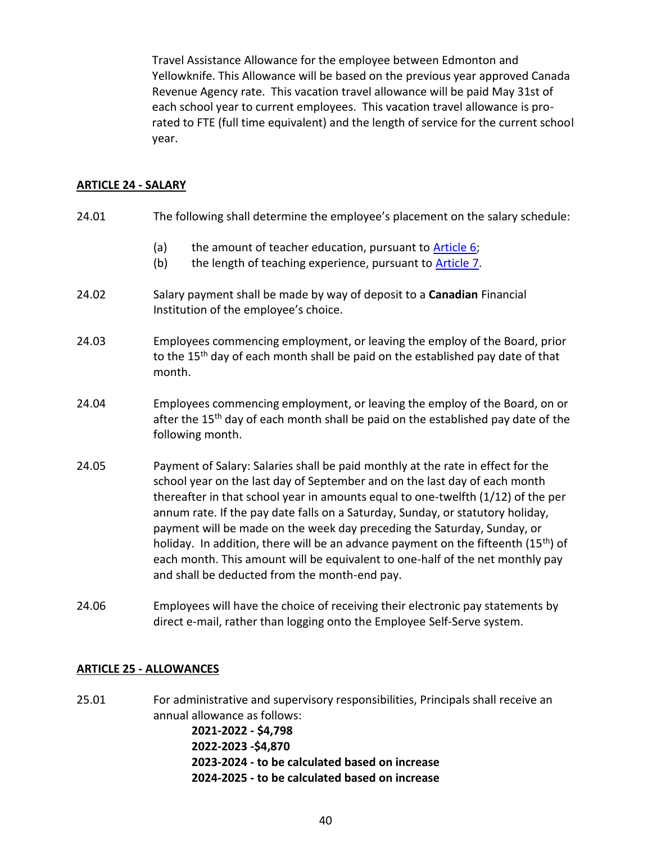Travel Assistance Allowance for the employee between Edmonton and Yellowknife. This Allowance will be based on the previous year approved Canada Revenue Agency rate. This vacation travel allowance will be paid May 31st of each school year to current employees. This vacation travel allowance is prorated to FTE (full time equivalent) and the length of service for the current school year.

## **ARTICLE 24 - SALARY**

| 24.01 | The following shall determine the employee's placement on the salary schedule:                                                                                                                                                                                                                                                                                                                                                                                                                                                                                                                                                                     |
|-------|----------------------------------------------------------------------------------------------------------------------------------------------------------------------------------------------------------------------------------------------------------------------------------------------------------------------------------------------------------------------------------------------------------------------------------------------------------------------------------------------------------------------------------------------------------------------------------------------------------------------------------------------------|
|       | the amount of teacher education, pursuant to Article 6;<br>(a)<br>(b)<br>the length of teaching experience, pursuant to Article 7.                                                                                                                                                                                                                                                                                                                                                                                                                                                                                                                 |
| 24.02 | Salary payment shall be made by way of deposit to a Canadian Financial<br>Institution of the employee's choice.                                                                                                                                                                                                                                                                                                                                                                                                                                                                                                                                    |
| 24.03 | Employees commencing employment, or leaving the employ of the Board, prior<br>to the 15 <sup>th</sup> day of each month shall be paid on the established pay date of that<br>month.                                                                                                                                                                                                                                                                                                                                                                                                                                                                |
| 24.04 | Employees commencing employment, or leaving the employ of the Board, on or<br>after the 15 <sup>th</sup> day of each month shall be paid on the established pay date of the<br>following month.                                                                                                                                                                                                                                                                                                                                                                                                                                                    |
| 24.05 | Payment of Salary: Salaries shall be paid monthly at the rate in effect for the<br>school year on the last day of September and on the last day of each month<br>thereafter in that school year in amounts equal to one-twelfth (1/12) of the per<br>annum rate. If the pay date falls on a Saturday, Sunday, or statutory holiday,<br>payment will be made on the week day preceding the Saturday, Sunday, or<br>holiday. In addition, there will be an advance payment on the fifteenth (15 <sup>th</sup> ) of<br>each month. This amount will be equivalent to one-half of the net monthly pay<br>and shall be deducted from the month-end pay. |
| 24.06 | Employees will have the choice of receiving their electronic pay statements by                                                                                                                                                                                                                                                                                                                                                                                                                                                                                                                                                                     |

## **ARTICLE 25 - ALLOWANCES**

<span id="page-40-0"></span>25.01 For administrative and supervisory responsibilities, Principals shall receive an annual allowance as follows: **2021-2022 - \$4,798 2022-2023 -\$4,870 2023-2024 - to be calculated based on increase 2024-2025 - to be calculated based on increase**

direct e-mail, rather than logging onto the Employee Self-Serve system.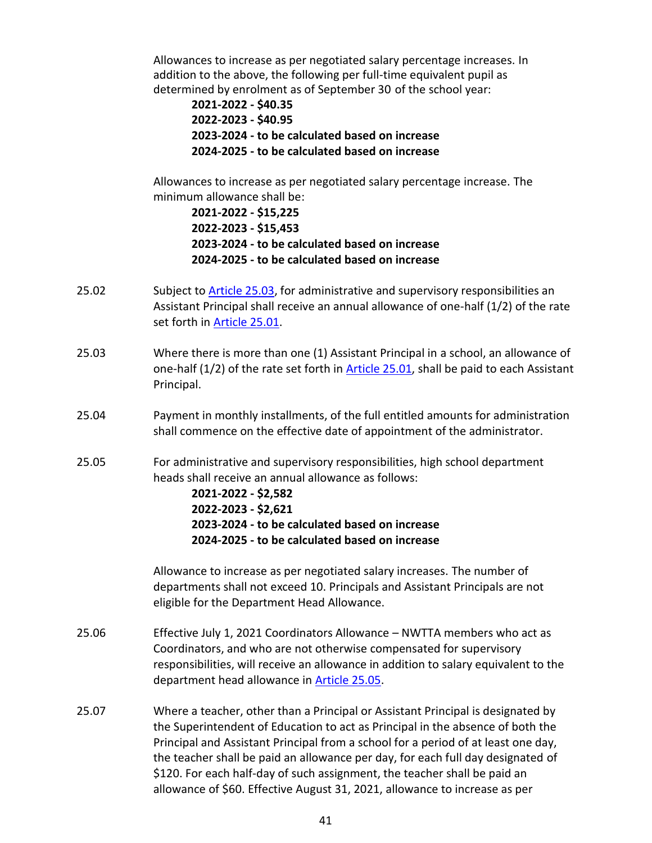Allowances to increase as per negotiated salary percentage increases. In addition to the above, the following per full-time equivalent pupil as determined by enrolment as of September 30 of the school year:

**2021-2022 - \$40.35 2022-2023 - \$40.95 2023-2024 - to be calculated based on increase 2024-2025 - to be calculated based on increase**

Allowances to increase as per negotiated salary percentage increase. The minimum allowance shall be:

**2021-2022 - \$15,225 2022-2023 - \$15,453 2023-2024 - to be calculated based on increase 2024-2025 - to be calculated based on increase**

- <span id="page-41-0"></span>25.02 Subject to [Article 25.03,](#page-41-1) for administrative and supervisory responsibilities an Assistant Principal shall receive an annual allowance of one-half (1/2) of the rate set forth in [Article 25.01.](#page-40-0)
- <span id="page-41-1"></span>25.03 Where there is more than one (1) Assistant Principal in a school, an allowance of one-half (1/2) of the rate set forth in **Article 25.01**, shall be paid to each Assistant Principal.
- 25.04 Payment in monthly installments, of the full entitled amounts for administration shall commence on the effective date of appointment of the administrator.
- <span id="page-41-2"></span>25.05 For administrative and supervisory responsibilities, high school department heads shall receive an annual allowance as follows:

**2021-2022 - \$2,582 2022-2023 - \$2,621 2023-2024 - to be calculated based on increase 2024-2025 - to be calculated based on increase**

Allowance to increase as per negotiated salary increases. The number of departments shall not exceed 10. Principals and Assistant Principals are not eligible for the Department Head Allowance.

- 25.06 Effective July 1, 2021 Coordinators Allowance NWTTA members who act as Coordinators, and who are not otherwise compensated for supervisory responsibilities, will receive an allowance in addition to salary equivalent to the department head allowance in [Article 25.05.](#page-41-2)
- 25.07 Where a teacher, other than a Principal or Assistant Principal is designated by the Superintendent of Education to act as Principal in the absence of both the Principal and Assistant Principal from a school for a period of at least one day, the teacher shall be paid an allowance per day, for each full day designated of \$120. For each half-day of such assignment, the teacher shall be paid an allowance of \$60. Effective August 31, 2021, allowance to increase as per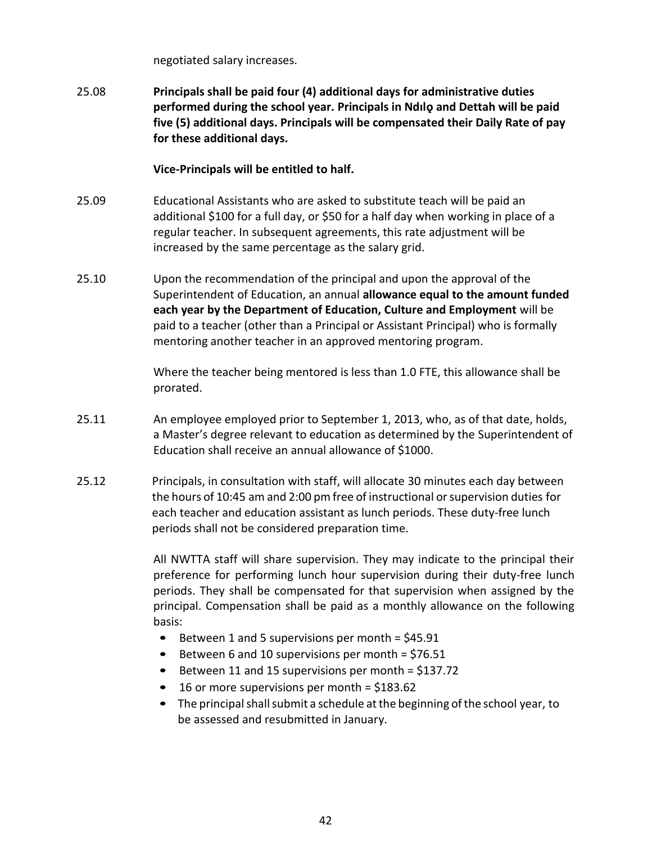negotiated salary increases.

25.08 **Principals shall be paid four (4) additional days for administrative duties performed during the school year. Principals in Ndılǫ and Dettah will be paid five (5) additional days. Principals will be compensated their Daily Rate of pay for these additional days.**

**Vice-Principals will be entitled to half.**

- 25.09 Educational Assistants who are asked to substitute teach will be paid an additional \$100 for a full day, or \$50 for a half day when working in place of a regular teacher. In subsequent agreements, this rate adjustment will be increased by the same percentage as the salary grid.
- 25.10 Upon the recommendation of the principal and upon the approval of the Superintendent of Education, an annual **allowance equal to the amount funded each year by the Department of Education, Culture and Employment** will be paid to a teacher (other than a Principal or Assistant Principal) who is formally mentoring another teacher in an approved mentoring program.

Where the teacher being mentored is less than 1.0 FTE, this allowance shall be prorated.

- 25.11 An employee employed prior to September 1, 2013, who, as of that date, holds, a Master's degree relevant to education as determined by the Superintendent of Education shall receive an annual allowance of \$1000.
- 25.12 Principals, in consultation with staff, will allocate 30 minutes each day between the hours of 10:45 am and 2:00 pm free of instructional orsupervision duties for each teacher and education assistant as lunch periods. These duty-free lunch periods shall not be considered preparation time.

All NWTTA staff will share supervision. They may indicate to the principal their preference for performing lunch hour supervision during their duty-free lunch periods. They shall be compensated for that supervision when assigned by the principal. Compensation shall be paid as a monthly allowance on the following basis:

- Between 1 and 5 supervisions per month  $=$  \$45.91
- Between 6 and 10 supervisions per month =  $$76.51$
- Between 11 and 15 supervisions per month = \$137.72
- $\bullet$  16 or more supervisions per month = \$183.62
- The principal shall submit a schedule at the beginning of the school year, to be assessed and resubmitted in January.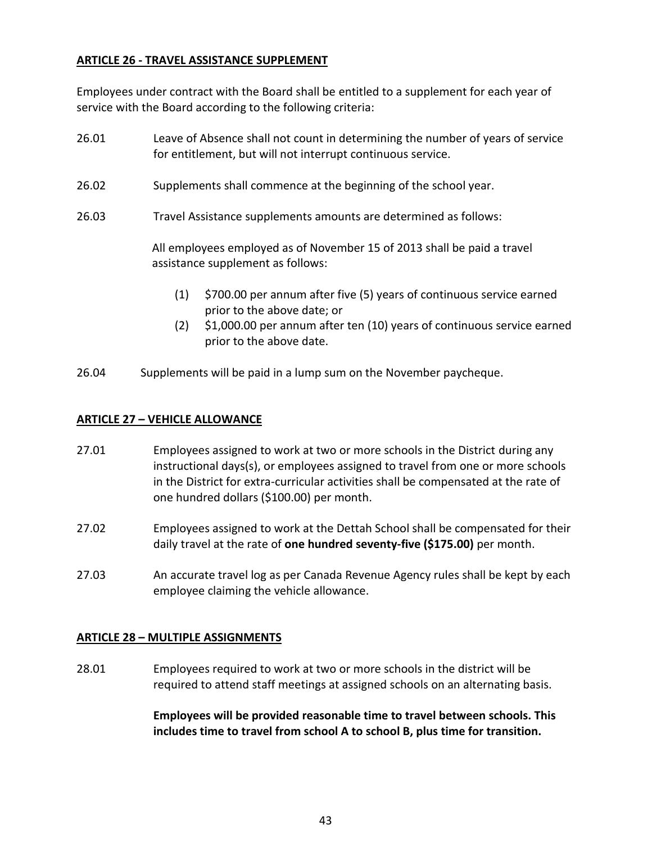## **ARTICLE 26 - TRAVEL ASSISTANCE SUPPLEMENT**

Employees under contract with the Board shall be entitled to a supplement for each year of service with the Board according to the following criteria:

- 26.01 Leave of Absence shall not count in determining the number of years of service for entitlement, but will not interrupt continuous service.
- 26.02 Supplements shall commence at the beginning of the school year.
- 26.03 Travel Assistance supplements amounts are determined as follows:

All employees employed as of November 15 of 2013 shall be paid a travel assistance supplement as follows:

- (1) \$700.00 per annum after five (5) years of continuous service earned prior to the above date; or
- (2) \$1,000.00 per annum after ten (10) years of continuous service earned prior to the above date.
- 26.04 Supplements will be paid in a lump sum on the November paycheque.

## **ARTICLE 27 – VEHICLE ALLOWANCE**

- 27.01 Employees assigned to work at two or more schools in the District during any instructional days(s), or employees assigned to travel from one or more schools in the District for extra-curricular activities shall be compensated at the rate of one hundred dollars (\$100.00) per month.
- 27.02 Employees assigned to work at the Dettah School shall be compensated for their daily travel at the rate of **one hundred seventy-five (\$175.00)** per month.
- 27.03 An accurate travel log as per Canada Revenue Agency rules shall be kept by each employee claiming the vehicle allowance.

## **ARTICLE 28 – MULTIPLE ASSIGNMENTS**

28.01 Employees required to work at two or more schools in the district will be required to attend staff meetings at assigned schools on an alternating basis.

> **Employees will be provided reasonable time to travel between schools. This includes time to travel from school A to school B, plus time for transition.**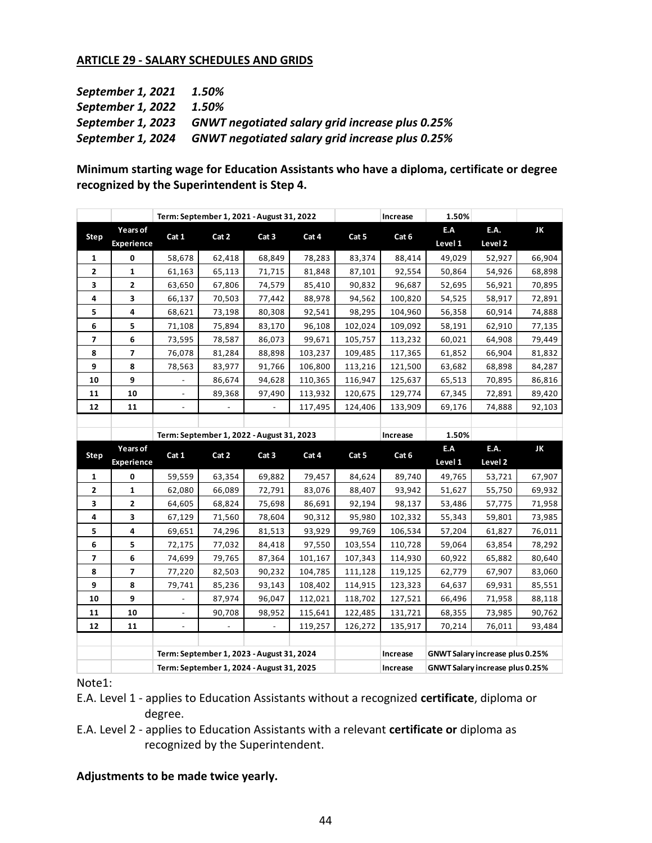## **ARTICLE 29 - SALARY SCHEDULES AND GRIDS**

| September 1, 2021       | 1.50%                                                             |
|-------------------------|-------------------------------------------------------------------|
| September 1, 2022 1.50% |                                                                   |
|                         | September 1, 2023 GNWT negotiated salary grid increase plus 0.25% |
| September 1, 2024       | <b>GNWT negotiated salary grid increase plus 0.25%</b>            |

**Minimum starting wage for Education Assistants who have a diploma, certificate or degree recognized by the Superintendent is Step 4.**

|                |                                           |                          | Term: September 1, 2021 - August 31, 2022 |                          |         |         | Increase | 1.50%   |                                 |        |
|----------------|-------------------------------------------|--------------------------|-------------------------------------------|--------------------------|---------|---------|----------|---------|---------------------------------|--------|
|                | Years of                                  |                          |                                           |                          |         |         |          | E.A     | E.A.                            | JK     |
| Step           | <b>Experience</b>                         | Cat 1                    | Cat 2                                     | Cat <sub>3</sub>         | Cat 4   | Cat 5   | Cat 6    | Level 1 | Level <sub>2</sub>              |        |
| 1              | 0                                         | 58,678                   | 62,418                                    | 68,849                   | 78,283  | 83,374  | 88,414   | 49,029  | 52,927                          | 66,904 |
| $\overline{2}$ | 1                                         | 61,163                   | 65,113                                    | 71,715                   | 81,848  | 87,101  | 92,554   | 50,864  | 54,926                          | 68,898 |
| 3              | $\mathbf{2}$                              | 63,650                   | 67,806                                    | 74,579                   | 85,410  | 90,832  | 96,687   | 52,695  | 56,921                          | 70,895 |
| 4              | 3                                         | 66,137                   | 70,503                                    | 77,442                   | 88,978  | 94,562  | 100,820  | 54,525  | 58,917                          | 72,891 |
| 5              | 4                                         | 68,621                   | 73,198                                    | 80,308                   | 92,541  | 98,295  | 104,960  | 56,358  | 60,914                          | 74,888 |
| 6              | 5                                         | 71,108                   | 75,894                                    | 83,170                   | 96,108  | 102,024 | 109,092  | 58,191  | 62,910                          | 77,135 |
| 7              | 6                                         | 73,595                   | 78,587                                    | 86,073                   | 99,671  | 105,757 | 113,232  | 60,021  | 64,908                          | 79,449 |
| 8              | $\overline{\phantom{a}}$                  | 76,078                   | 81,284                                    | 88,898                   | 103,237 | 109,485 | 117,365  | 61,852  | 66,904                          | 81,832 |
| 9              | 8                                         | 78,563                   | 83,977                                    | 91,766                   | 106,800 | 113,216 | 121,500  | 63,682  | 68,898                          | 84,287 |
| 10             | 9                                         |                          | 86,674                                    | 94,628                   | 110,365 | 116,947 | 125,637  | 65,513  | 70,895                          | 86,816 |
| 11             | 10                                        | $\overline{\phantom{a}}$ | 89,368                                    | 97,490                   | 113,932 | 120,675 | 129,774  | 67,345  | 72,891                          | 89,420 |
| 12             | 11                                        | $\overline{\phantom{a}}$ | $\overline{\phantom{a}}$                  | $\overline{\phantom{a}}$ | 117,495 | 124,406 | 133,909  | 69,176  | 74,888                          | 92,103 |
|                |                                           |                          |                                           |                          |         |         |          |         |                                 |        |
|                | Term: September 1, 2022 - August 31, 2023 |                          |                                           |                          |         |         |          |         |                                 |        |
|                |                                           |                          |                                           |                          |         |         | Increase | 1.50%   |                                 |        |
|                | Years of                                  |                          |                                           |                          |         |         |          | E.A     | E.A.                            | JK     |
| <b>Step</b>    | <b>Experience</b>                         | Cat 1                    | Cat 2                                     | Cat 3                    | Cat 4   | Cat 5   | Cat 6    | Level 1 | Level 2                         |        |
| $\mathbf{1}$   | 0                                         | 59,559                   | 63,354                                    | 69,882                   | 79,457  | 84,624  | 89,740   | 49,765  | 53,721                          | 67,907 |
| 2              | 1                                         | 62,080                   | 66,089                                    | 72,791                   | 83,076  | 88,407  | 93,942   | 51,627  | 55,750                          | 69,932 |
| 3              | 2                                         | 64,605                   | 68,824                                    | 75,698                   | 86,691  | 92,194  | 98,137   | 53,486  | 57,775                          | 71,958 |
| 4              | 3                                         | 67,129                   | 71,560                                    | 78,604                   | 90,312  | 95,980  | 102,332  | 55,343  | 59,801                          | 73,985 |
| 5              | 4                                         | 69,651                   | 74,296                                    | 81,513                   | 93,929  | 99,769  | 106,534  | 57,204  | 61,827                          | 76,011 |
| 6              | 5                                         | 72,175                   | 77,032                                    | 84,418                   | 97,550  | 103,554 | 110,728  | 59,064  | 63,854                          | 78,292 |
| 7              | 6                                         | 74,699                   | 79,765                                    | 87,364                   | 101,167 | 107,343 | 114,930  | 60,922  | 65,882                          | 80,640 |
| 8              | $\overline{ }$                            | 77,220                   | 82,503                                    | 90,232                   | 104,785 | 111,128 | 119,125  | 62,779  | 67,907                          | 83,060 |
| 9              | 8                                         | 79,741                   | 85,236                                    | 93,143                   | 108,402 | 114,915 | 123,323  | 64,637  | 69,931                          | 85,551 |
| 10             | 9                                         |                          | 87,974                                    | 96,047                   | 112,021 | 118,702 | 127,521  | 66,496  | 71,958                          | 88,118 |
| 11             | 10                                        |                          | 90,708                                    | 98,952                   | 115,641 | 122,485 | 131,721  | 68,355  | 73,985                          | 90,762 |
| 12             | 11                                        | $\overline{\phantom{a}}$ | $\overline{\phantom{a}}$                  | $\blacksquare$           | 119,257 | 126,272 | 135,917  | 70,214  | 76,011                          | 93,484 |
|                |                                           |                          |                                           |                          |         |         |          |         |                                 |        |
|                |                                           |                          | Term: September 1, 2023 - August 31, 2024 |                          |         |         | Increase |         | GNWT Salary increase plus 0.25% |        |

Note1:

- E.A. Level 1 applies to Education Assistants without a recognized **certificate**, diploma or degree.
- E.A. Level 2 applies to Education Assistants with a relevant **certificate or** diploma as recognized by the Superintendent.

#### **Adjustments to be made twice yearly.**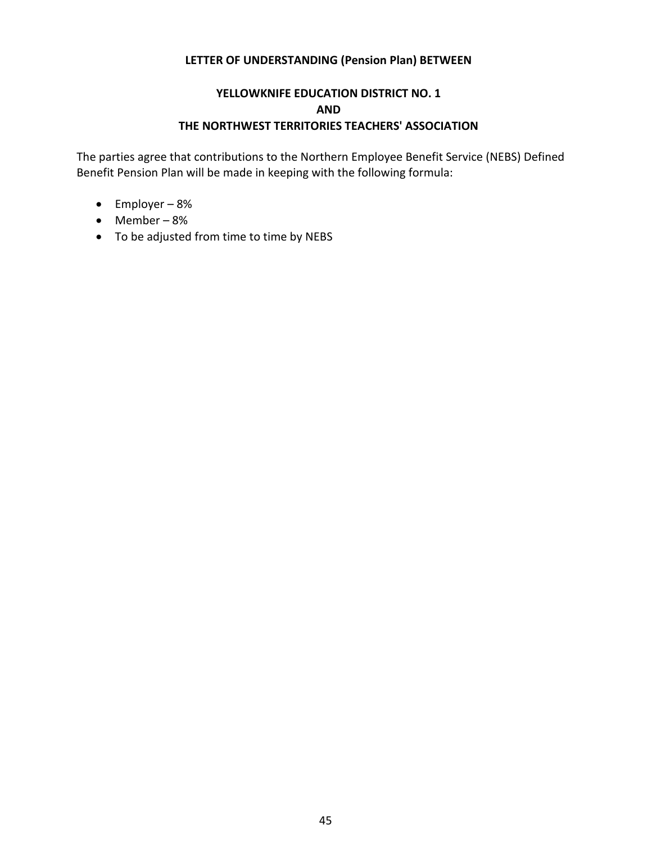## **LETTER OF UNDERSTANDING (Pension Plan) BETWEEN**

# **YELLOWKNIFE EDUCATION DISTRICT NO. 1 AND THE NORTHWEST TERRITORIES TEACHERS' ASSOCIATION**

The parties agree that contributions to the Northern Employee Benefit Service (NEBS) Defined Benefit Pension Plan will be made in keeping with the following formula:

- Employer 8%
- Member 8%
- To be adjusted from time to time by NEBS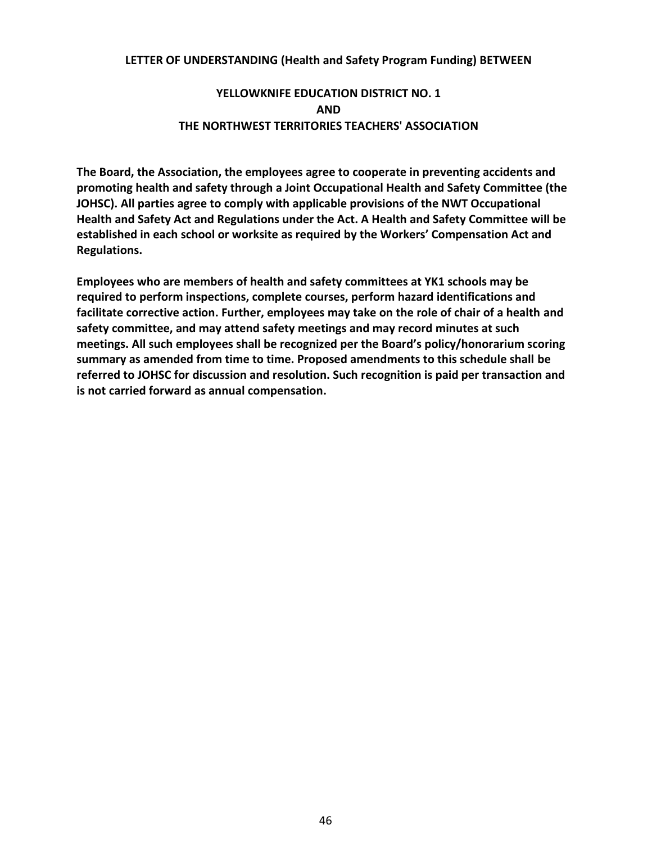#### **LETTER OF UNDERSTANDING (Health and Safety Program Funding) BETWEEN**

# **YELLOWKNIFE EDUCATION DISTRICT NO. 1 AND THE NORTHWEST TERRITORIES TEACHERS' ASSOCIATION**

**The Board, the Association, the employees agree to cooperate in preventing accidents and promoting health and safety through a Joint Occupational Health and Safety Committee (the JOHSC). All parties agree to comply with applicable provisions of the NWT Occupational Health and Safety Act and Regulations under the Act. A Health and Safety Committee will be established in each school or worksite as required by the Workers' Compensation Act and Regulations.**

**Employees who are members of health and safety committees at YK1 schools may be required to perform inspections, complete courses, perform hazard identifications and facilitate corrective action. Further, employees may take on the role of chair of a health and safety committee, and may attend safety meetings and may record minutes at such meetings. All such employees shall be recognized per the Board's policy/honorarium scoring summary as amended from time to time. Proposed amendments to this schedule shall be referred to JOHSC for discussion and resolution. Such recognition is paid per transaction and is not carried forward as annual compensation.**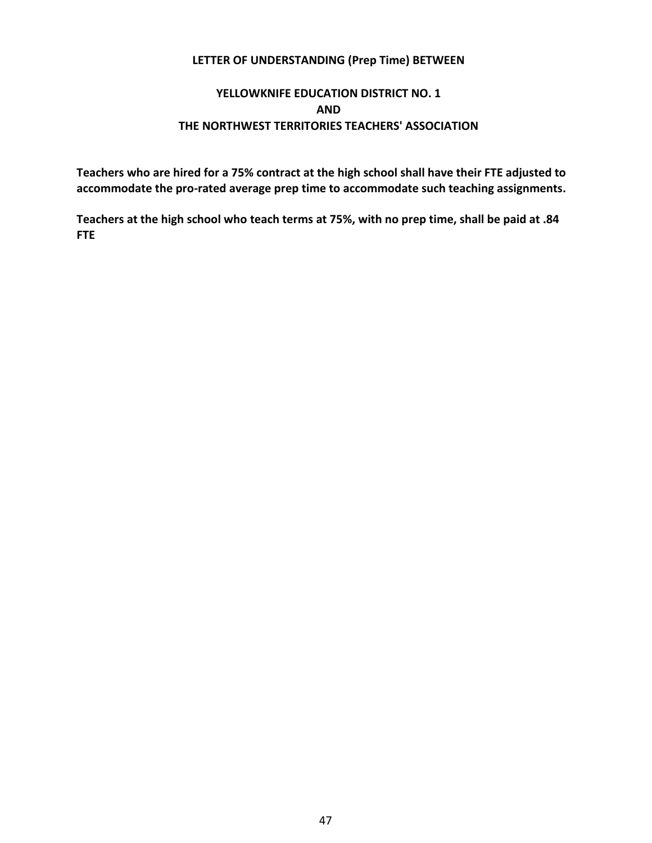## **LETTER OF UNDERSTANDING (Prep Time) BETWEEN**

# **YELLOWKNIFE EDUCATION DISTRICT NO. 1 AND THE NORTHWEST TERRITORIES TEACHERS' ASSOCIATION**

**Teachers who are hired for a 75% contract at the high school shall have their FTE adjusted to accommodate the pro-rated average prep time to accommodate such teaching assignments.**

**Teachers at the high school who teach terms at 75%, with no prep time, shall be paid at .84 FTE**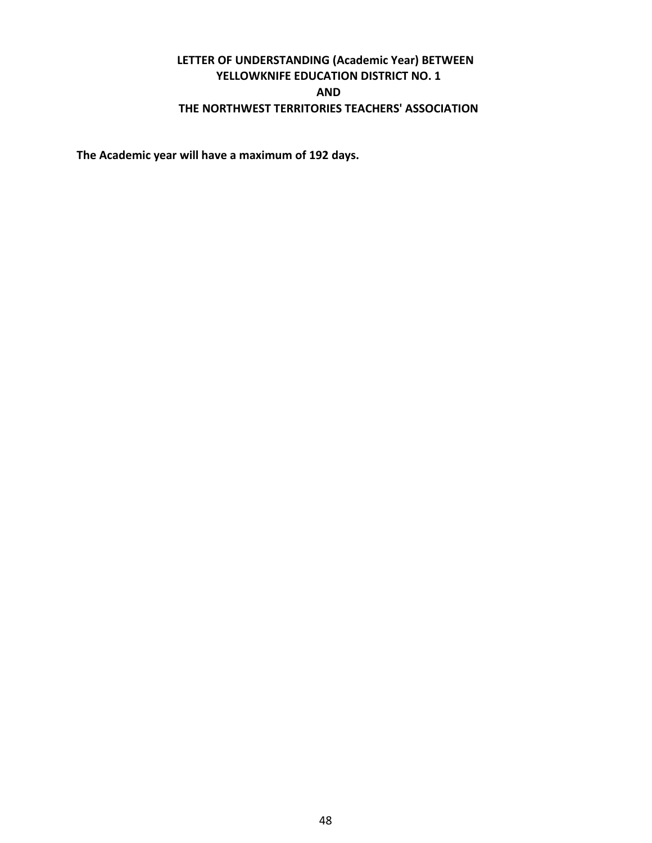# **LETTER OF UNDERSTANDING (Academic Year) BETWEEN YELLOWKNIFE EDUCATION DISTRICT NO. 1 AND THE NORTHWEST TERRITORIES TEACHERS' ASSOCIATION**

**The Academic year will have a maximum of 192 days.**